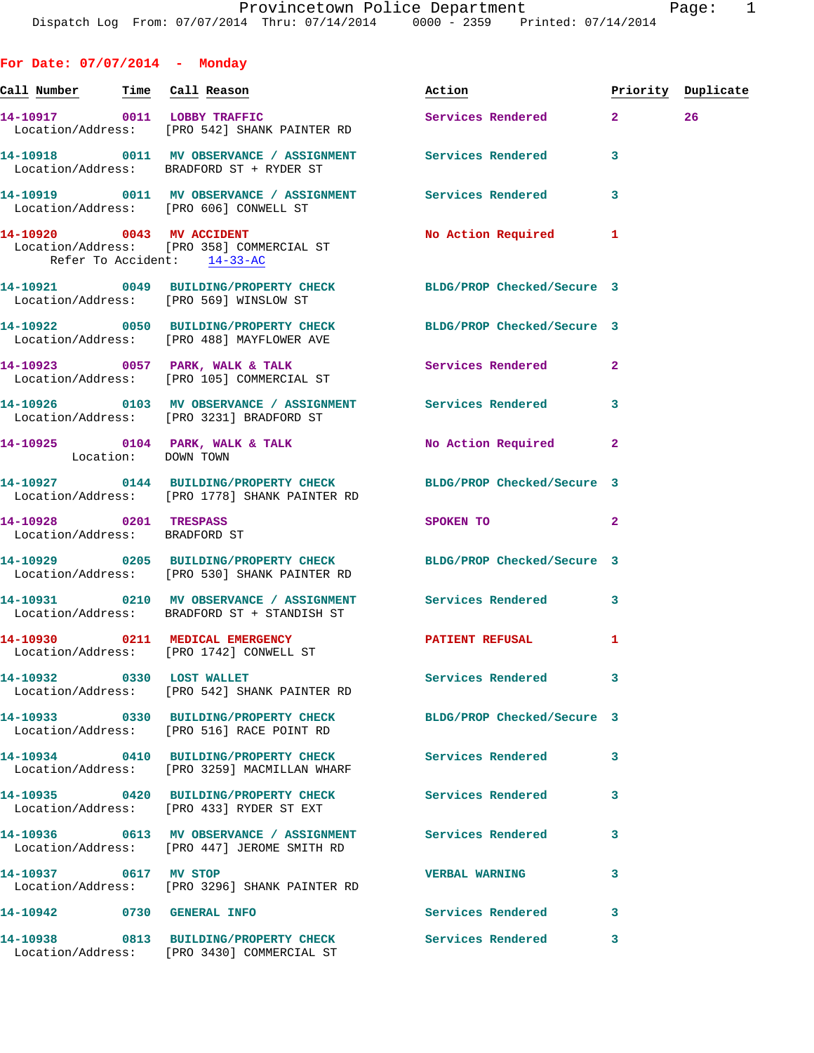| For Date: $07/07/2014$ - Monday                         |                                                                                                                   |                            |                    |  |
|---------------------------------------------------------|-------------------------------------------------------------------------------------------------------------------|----------------------------|--------------------|--|
|                                                         | <u>Call Number — Time Cal</u> l Reason                                                                            | Action                     | Priority Duplicate |  |
|                                                         | 14-10917 0011 LOBBY TRAFFIC<br>Location/Address: [PRO 542] SHANK PAINTER RD                                       | Services Rendered 2 26     |                    |  |
|                                                         | 14-10918 0011 MV OBSERVANCE / ASSIGNMENT Services Rendered<br>Location/Address: BRADFORD ST + RYDER ST            |                            | 3                  |  |
|                                                         | 14-10919 0011 MV OBSERVANCE / ASSIGNMENT Services Rendered<br>Location/Address: [PRO 606] CONWELL ST              |                            | 3                  |  |
| Refer To Accident: 14-33-AC                             | 14-10920 0043 MV ACCIDENT<br>Location/Address: [PRO 358] COMMERCIAL ST                                            | <b>No Action Required</b>  | -1                 |  |
|                                                         | 14-10921 0049 BUILDING/PROPERTY CHECK BLDG/PROP Checked/Secure 3<br>Location/Address: [PRO 569] WINSLOW ST        |                            |                    |  |
|                                                         | 14-10922 0050 BUILDING/PROPERTY CHECK BLDG/PROP Checked/Secure 3<br>Location/Address: [PRO 488] MAYFLOWER AVE     |                            |                    |  |
|                                                         | 14-10923 0057 PARK, WALK & TALK<br>Location/Address: [PRO 105] COMMERCIAL ST                                      | <b>Services Rendered</b>   | $\overline{a}$     |  |
|                                                         | 14-10926 0103 MV OBSERVANCE / ASSIGNMENT Services Rendered<br>Location/Address: [PRO 3231] BRADFORD ST            |                            | 3                  |  |
| Location: DOWN TOWN                                     | 14-10925 0104 PARK, WALK & TALK                                                                                   | No Action Required         | $\mathbf{2}$       |  |
|                                                         | 14-10927 0144 BUILDING/PROPERTY CHECK BLDG/PROP Checked/Secure 3<br>Location/Address: [PRO 1778] SHANK PAINTER RD |                            |                    |  |
| 14-10928 0201 TRESPASS<br>Location/Address: BRADFORD ST |                                                                                                                   | SPOKEN TO                  | $\overline{a}$     |  |
|                                                         | 14-10929 0205 BUILDING/PROPERTY CHECK BLDG/PROP Checked/Secure 3<br>Location/Address: [PRO 530] SHANK PAINTER RD  |                            |                    |  |
|                                                         | 14-10931 0210 MV OBSERVANCE / ASSIGNMENT Services Rendered<br>Location/Address: BRADFORD ST + STANDISH ST         |                            | 3                  |  |
|                                                         | 14-10930 0211 MEDICAL EMERGENCY<br>Location/Address: [PRO 1742] CONWELL ST                                        | PATIENT REFUSAL            | -1                 |  |
| 14-10932 0330 LOST WALLET                               | Location/Address: [PRO 542] SHANK PAINTER RD                                                                      | <b>Services Rendered</b>   | -3                 |  |
|                                                         | 14-10933 0330 BUILDING/PROPERTY CHECK<br>Location/Address: [PRO 516] RACE POINT RD                                | BLDG/PROP Checked/Secure 3 |                    |  |
|                                                         | 14-10934 0410 BUILDING/PROPERTY CHECK<br>Location/Address: [PRO 3259] MACMILLAN WHARF                             | Services Rendered          | 3                  |  |
|                                                         | 14-10935 0420 BUILDING/PROPERTY CHECK<br>Location/Address: [PRO 433] RYDER ST EXT                                 | Services Rendered          | 3                  |  |
|                                                         | 14-10936 613 MV OBSERVANCE / ASSIGNMENT Services Rendered<br>Location/Address: [PRO 447] JEROME SMITH RD          |                            | 3                  |  |
| 14-10937 0617 MV STOP                                   | Location/Address: [PRO 3296] SHANK PAINTER RD                                                                     | <b>VERBAL WARNING</b>      | 3                  |  |
| 14-10942 0730 GENERAL INFO                              |                                                                                                                   | <b>Services Rendered</b>   | 3                  |  |
|                                                         |                                                                                                                   |                            |                    |  |

**14-10938 0813 BUILDING/PROPERTY CHECK Services Rendered 3**  Location/Address: [PRO 3430] COMMERCIAL ST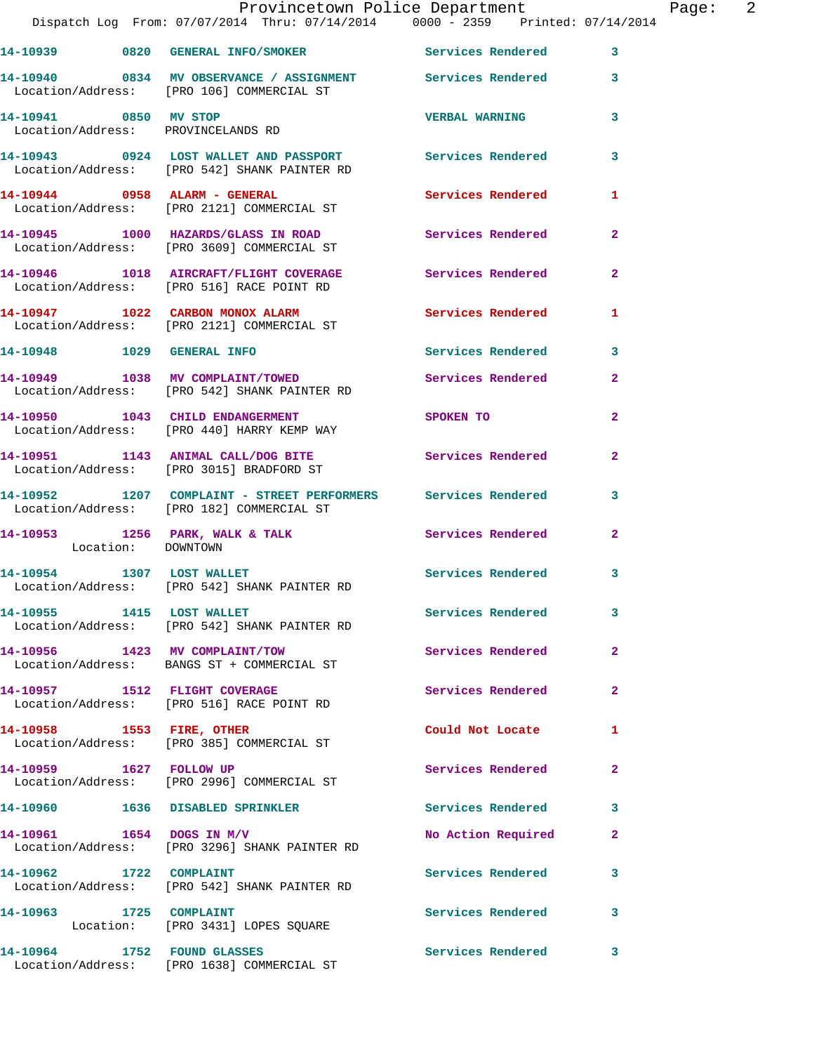|                                                             | Provincetown Police Department Page: 2<br>Dispatch Log From: 07/07/2014 Thru: 07/14/2014   0000 - 2359   Printed: 07/14/2014 |                          |                |  |
|-------------------------------------------------------------|------------------------------------------------------------------------------------------------------------------------------|--------------------------|----------------|--|
|                                                             | 14-10939 0820 GENERAL INFO/SMOKER Services Rendered 3                                                                        |                          |                |  |
|                                                             | 14-10940 0834 MV OBSERVANCE / ASSIGNMENT Services Rendered 3<br>Location/Address: [PRO 106] COMMERCIAL ST                    |                          |                |  |
| 14-10941 0850 MV STOP<br>Location/Address: PROVINCELANDS RD |                                                                                                                              | <b>VERBAL WARNING</b>    | 3              |  |
|                                                             | 14-10943 0924 LOST WALLET AND PASSPORT Services Rendered 3<br>Location/Address: [PRO 542] SHANK PAINTER RD                   |                          |                |  |
|                                                             | 14-10944 0958 ALARM - GENERAL<br>Location/Address: [PRO 2121] COMMERCIAL ST                                                  | Services Rendered        | 1              |  |
|                                                             | 14-10945 1000 HAZARDS/GLASS IN ROAD Services Rendered<br>Location/Address: [PRO 3609] COMMERCIAL ST                          |                          | $\mathbf{2}$   |  |
|                                                             | 14-10946 1018 AIRCRAFT/FLIGHT COVERAGE Services Rendered<br>Location/Address: [PRO 516] RACE POINT RD                        |                          | $\mathbf{2}$   |  |
|                                                             | 14-10947 1022 CARBON MONOX ALARM Services Rendered<br>Location/Address: [PRO 2121] COMMERCIAL ST                             |                          | 1              |  |
|                                                             | 14-10948 1029 GENERAL INFO                                                                                                   | Services Rendered 3      |                |  |
|                                                             | 14-10949 1038 MV COMPLAINT/TOWED<br>Location/Address: [PRO 542] SHANK PAINTER RD                                             | Services Rendered        | $\overline{2}$ |  |
|                                                             | 14-10950 1043 CHILD ENDANGERMENT<br>Location/Address: [PRO 440] HARRY KEMP WAY                                               | SPOKEN TO                | $\overline{2}$ |  |
|                                                             | 14-10951 1143 ANIMAL CALL/DOG BITE Services Rendered<br>Location/Address: [PRO 3015] BRADFORD ST                             |                          | $\mathbf{2}$   |  |
|                                                             | 14-10952 1207 COMPLAINT - STREET PERFORMERS Services Rendered<br>Location/Address: [PRO 182] COMMERCIAL ST                   |                          | 3              |  |
| Location: DOWNTOWN                                          | 14-10953 1256 PARK, WALK & TALK 1998 Services Rendered                                                                       |                          | $\overline{2}$ |  |
|                                                             | 14-10954 1307 LOST WALLET<br>Location/Address: [PRO 542] SHANK PAINTER RD                                                    | Services Rendered        | 3              |  |
| 14-10955 1415 LOST WALLET                                   | Location/Address: [PRO 542] SHANK PAINTER RD                                                                                 | Services Rendered        | 3              |  |
|                                                             | 14-10956 1423 MV COMPLAINT/TOW<br>Location/Address: BANGS ST + COMMERCIAL ST                                                 | <b>Services Rendered</b> | $\mathbf{2}$   |  |
|                                                             | 14-10957 1512 FLIGHT COVERAGE<br>Location/Address: [PRO 516] RACE POINT RD                                                   | Services Rendered        | $\mathbf{2}$   |  |
|                                                             | 14-10958 1553 FIRE, OTHER<br>Location/Address: [PRO 385] COMMERCIAL ST                                                       | Could Not Locate         | 1              |  |
| 14-10959 1627 FOLLOW UP                                     | Location/Address: [PRO 2996] COMMERCIAL ST                                                                                   | Services Rendered        | $\mathbf{2}$   |  |
|                                                             | 14-10960 1636 DISABLED SPRINKLER                                                                                             | <b>Services Rendered</b> | 3              |  |
| 14-10961 1654 DOGS IN M/V                                   | Location/Address: [PRO 3296] SHANK PAINTER RD                                                                                | No Action Required       | $\mathbf{2}$   |  |
| 14-10962 1722 COMPLAINT                                     | Location/Address: [PRO 542] SHANK PAINTER RD                                                                                 | Services Rendered        | 3              |  |
| 14-10963 1725 COMPLAINT                                     | Location: [PRO 3431] LOPES SQUARE                                                                                            | Services Rendered        | 3              |  |
|                                                             | 14-10964 1752 FOUND GLASSES<br>Location/Address: [PRO 1638] COMMERCIAL ST                                                    | Services Rendered        | 3              |  |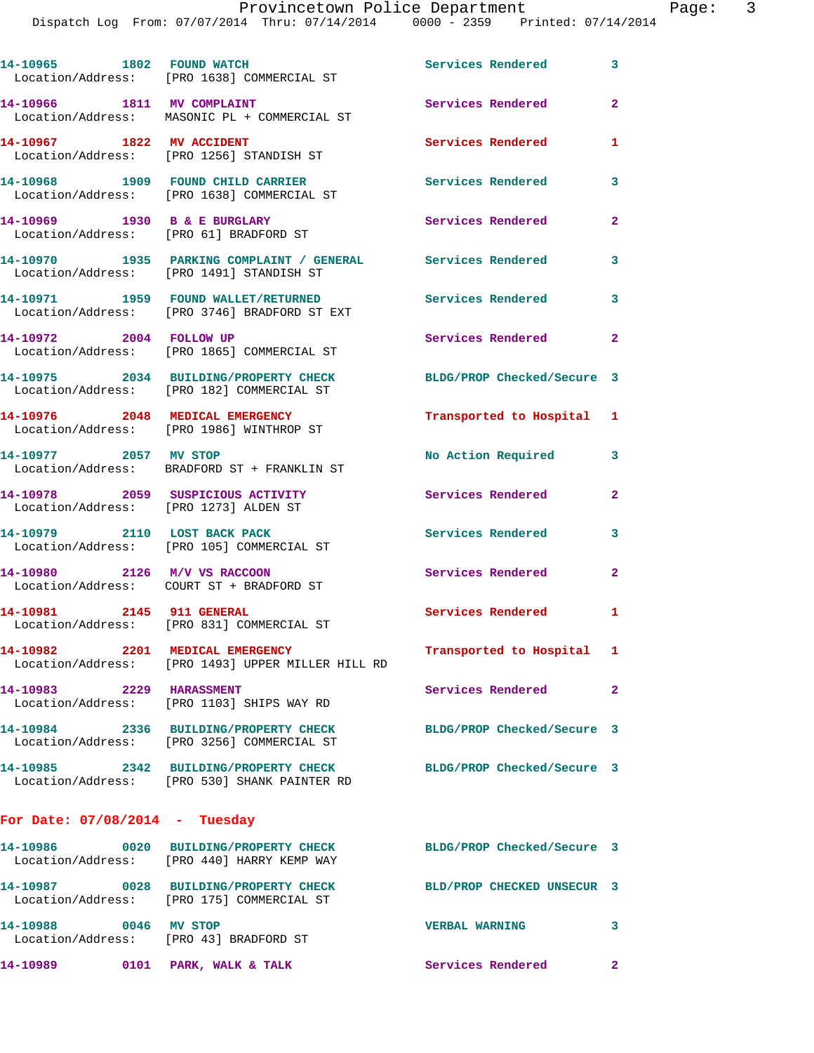Dispatch Log From: 07/07/2014 Thru: 07/14/2014 0000 - 2359 Printed: 07/14/2014 **14-10965 1802 FOUND WATCH Services Rendered 3**  Location/Address: [PRO 1638] COMMERCIAL ST **14-10966 1811 MV COMPLAINT Services Rendered 2**  Location/Address: MASONIC PL + COMMERCIAL ST **14-10967 1822 MV ACCIDENT Services Rendered 1**  Location/Address: [PRO 1256] STANDISH ST **14-10968 1909 FOUND CHILD CARRIER Services Rendered 3**  Location/Address: [PRO 1638] COMMERCIAL ST **14-10969 1930 B & E BURGLARY Services Rendered 2**  Location/Address: [PRO 61] BRADFORD ST **14-10970 1935 PARKING COMPLAINT / GENERAL Services Rendered 3** 

**14-10971 1959 FOUND WALLET/RETURNED Services Rendered 3**  Location/Address: [PRO 3746] BRADFORD ST EXT **14-10972 2004 FOLLOW UP Services Rendered 2** 

Location/Address: [PRO 1865] COMMERCIAL ST

Location/Address: [PRO 1491] STANDISH ST

**14-10975 2034 BUILDING/PROPERTY CHECK BLDG/PROP Checked/Secure 3**  Location/Address: [PRO 182] COMMERCIAL ST

**14-10976 2048 MEDICAL EMERGENCY Transported to Hospital 1**  Location/Address: [PRO 1986] WINTHROP ST

**14-10977 2057 MV STOP No Action Required 3**  Location/Address: BRADFORD ST + FRANKLIN ST

**14-10978 2059 SUSPICIOUS ACTIVITY Services Rendered 2**  Location/Address: [PRO 1273] ALDEN ST

**14-10979 2110 LOST BACK PACK Services Rendered 3**  Location/Address: [PRO 105] COMMERCIAL ST

**14-10980 2126 M/V VS RACCOON Services Rendered 2**  Location/Address: COURT ST + BRADFORD ST

**14-10981 2145 911 GENERAL Services Rendered 1**  Location/Address: [PRO 831] COMMERCIAL ST

**14-10982 2201 MEDICAL EMERGENCY Transported to Hospital 1**  Location/Address: [PRO 1493] UPPER MILLER HILL RD

**14-10983 2229 HARASSMENT Services Rendered 2**  Location/Address: [PRO 1103] SHIPS WAY RD

**14-10984 2336 BUILDING/PROPERTY CHECK BLDG/PROP Checked/Secure 3**  Location/Address: [PRO 3256] COMMERCIAL ST

**14-10985 2342 BUILDING/PROPERTY CHECK BLDG/PROP Checked/Secure 3**  Location/Address: [PRO 530] SHANK PAINTER RD

## **For Date: 07/08/2014 - Tuesday**

**14-10986 0020 BUILDING/PROPERTY CHECK BLDG/PROP Checked/Secure 3**  Location/Address: [PRO 440] HARRY KEMP WAY **14-10987 0028 BUILDING/PROPERTY CHECK BLD/PROP CHECKED UNSECUR 3**  Location/Address: [PRO 175] COMMERCIAL ST **14-10988 0046 MV STOP VERBAL WARNING 3**  Location/Address: [PRO 43] BRADFORD ST **14-10989 0101 PARK, WALK & TALK Services Rendered 2**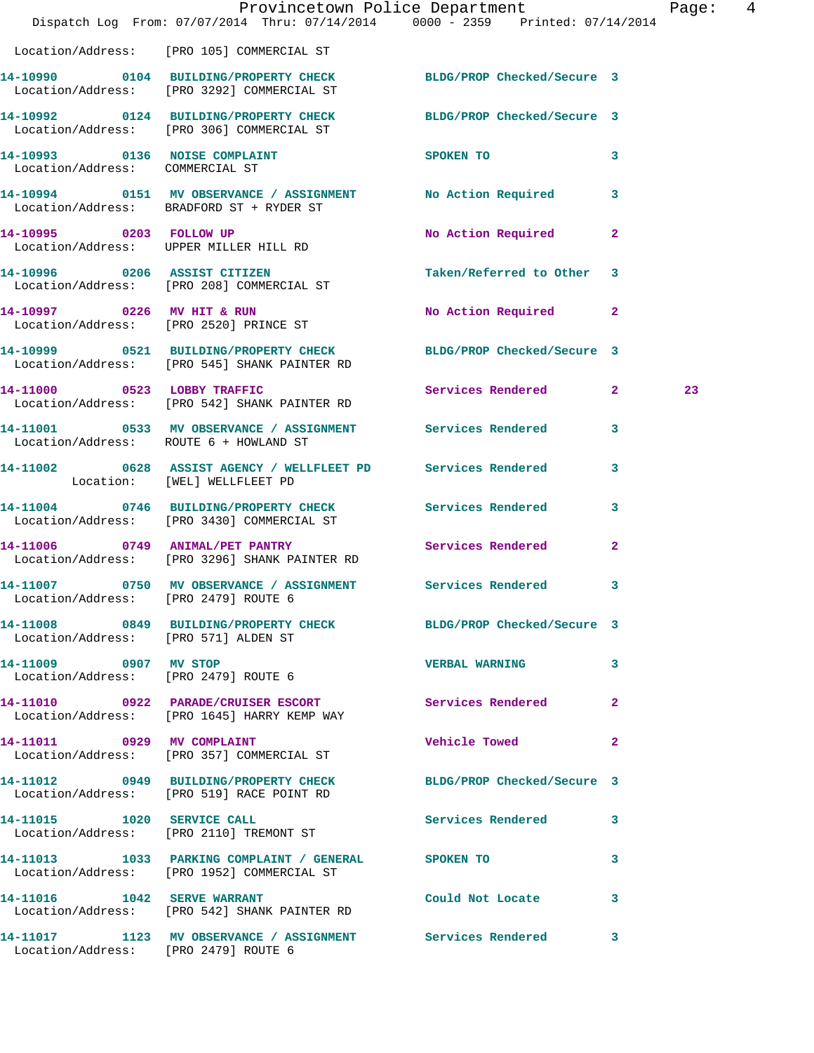|                                        | Dispatch Log From: 07/07/2014 Thru: 07/14/2014 0000 - 2359 Printed: 07/14/2014                                   | Provincetown Police Department        |                | Page: 4 |  |
|----------------------------------------|------------------------------------------------------------------------------------------------------------------|---------------------------------------|----------------|---------|--|
|                                        | Location/Address: [PRO 105] COMMERCIAL ST                                                                        |                                       |                |         |  |
|                                        | 14-10990 0104 BUILDING/PROPERTY CHECK<br>Location/Address: [PRO 3292] COMMERCIAL ST                              | BLDG/PROP Checked/Secure 3            |                |         |  |
|                                        | 14-10992 0124 BUILDING/PROPERTY CHECK BLDG/PROP Checked/Secure 3<br>Location/Address: [PRO 306] COMMERCIAL ST    |                                       |                |         |  |
| Location/Address: COMMERCIAL ST        | 14-10993 0136 NOISE COMPLAINT                                                                                    | SPOKEN TO THE SPOKEN OF THE SPOKEN TO | $\mathbf{3}$   |         |  |
|                                        | 14-10994 0151 MV OBSERVANCE / ASSIGNMENT<br>Location/Address: BRADFORD ST + RYDER ST                             | No Action Required 3                  |                |         |  |
| 14-10995 0203 FOLLOW UP                | Location/Address: UPPER MILLER HILL RD                                                                           | No Action Required                    | $\mathbf{2}$   |         |  |
|                                        | 14-10996 0206 ASSIST CITIZEN<br>Location/Address: [PRO 208] COMMERCIAL ST                                        | Taken/Referred to Other 3             |                |         |  |
|                                        | 14-10997 0226 MV HIT & RUN<br>Location/Address: [PRO 2520] PRINCE ST                                             | No Action Required 2                  |                |         |  |
|                                        | 14-10999 0521 BUILDING/PROPERTY CHECK BLDG/PROP Checked/Secure 3<br>Location/Address: [PRO 545] SHANK PAINTER RD |                                       |                |         |  |
|                                        | 14-11000 0523 LOBBY TRAFFIC<br>Location/Address: [PRO 542] SHANK PAINTER RD                                      | Services Rendered 2                   |                | 23      |  |
| Location/Address: ROUTE 6 + HOWLAND ST | 14-11001 0533 MV OBSERVANCE / ASSIGNMENT Services Rendered                                                       |                                       | $\mathbf{3}$   |         |  |
| Location: [WEL] WELLFLEET PD           | 14-11002 0628 ASSIST AGENCY / WELLFLEET PD Services Rendered                                                     |                                       | $\mathbf{3}$   |         |  |
|                                        | 14-11004 0746 BUILDING/PROPERTY CHECK Services Rendered 3<br>Location/Address: [PRO 3430] COMMERCIAL ST          |                                       |                |         |  |
|                                        | 14-11006 0749 ANIMAL/PET PANTRY<br>Location/Address: [PRO 3296] SHANK PAINTER RD                                 | Services Rendered                     | $\overline{a}$ |         |  |
| Location/Address: [PRO 2479] ROUTE 6   | 14-11007 0750 MV OBSERVANCE / ASSIGNMENT Services Rendered 3                                                     |                                       |                |         |  |
| Location/Address: [PRO 571] ALDEN ST   | 14-11008 0849 BUILDING/PROPERTY CHECK BLDG/PROP Checked/Secure 3                                                 |                                       |                |         |  |
| 14-11009 0907 MV STOP                  | Location/Address: [PRO 2479] ROUTE 6                                                                             | VERBAL WARNING 3                      |                |         |  |
|                                        | 14-11010 0922 PARADE/CRUISER ESCORT<br>Location/Address: [PRO 1645] HARRY KEMP WAY                               | Services Rendered 2                   |                |         |  |
|                                        | 14-11011 0929 MV COMPLAINT<br>Location/Address: [PRO 357] COMMERCIAL ST                                          | <b>Vehicle Towed State</b>            | $\mathbf{2}$   |         |  |
|                                        | 14-11012 0949 BUILDING/PROPERTY CHECK BLDG/PROP Checked/Secure 3<br>Location/Address: [PRO 519] RACE POINT RD    |                                       |                |         |  |
|                                        | 14-11015 1020 SERVICE CALL<br>Location/Address: [PRO 2110] TREMONT ST                                            | Services Rendered 3                   |                |         |  |
|                                        | 14-11013 1033 PARKING COMPLAINT / GENERAL SPOKEN TO<br>Location/Address: [PRO 1952] COMMERCIAL ST                |                                       | 3              |         |  |
|                                        | 14-11016    1042    SERVE WARRANT<br>Location/Address: [PRO 542] SHANK PAINTER RD                                | Could Not Locate 3                    |                |         |  |
| Location/Address: [PRO 2479] ROUTE 6   | 14-11017 1123 MV OBSERVANCE / ASSIGNMENT Services Rendered 3                                                     |                                       |                |         |  |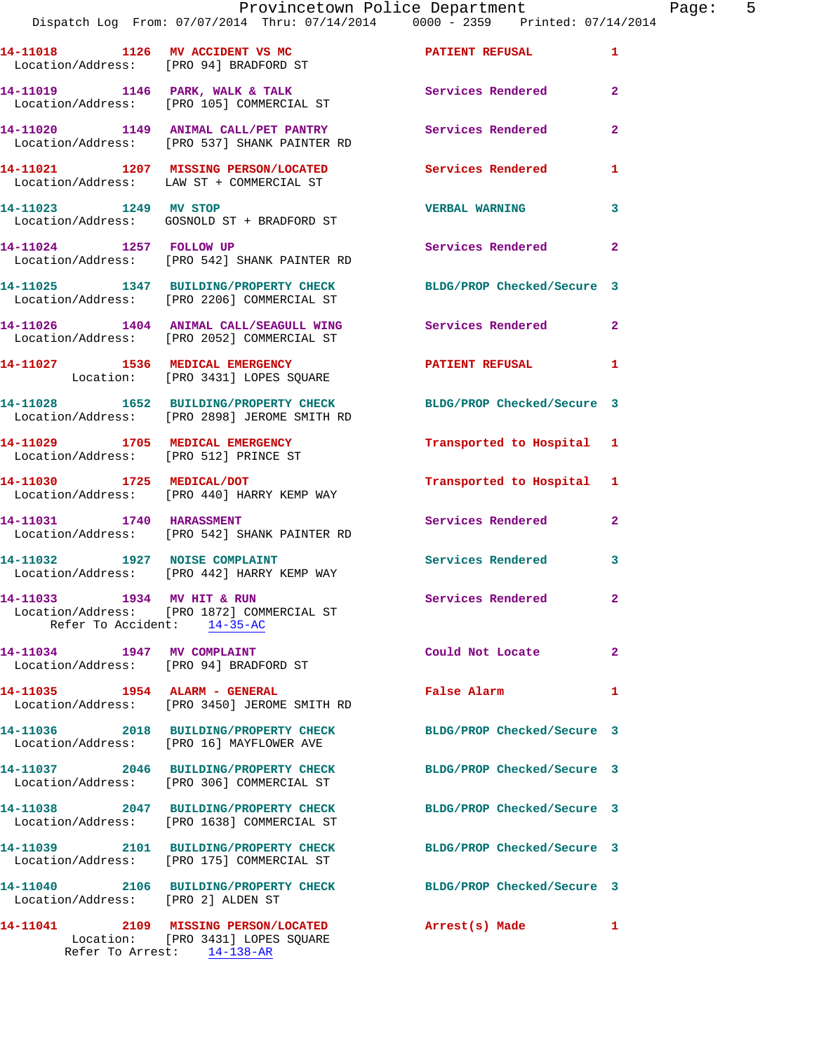**14-11021 1207 MISSING PERSON/LOCATED Services Rendered 1**  Location/Address: LAW ST + COMMERCIAL ST

**14-11023 1249 MV STOP VERBAL WARNING 3**  Location/Address: GOSNOLD ST + BRADFORD ST

**14-11024 1257 FOLLOW UP Services Rendered 2**  Location/Address: [PRO 542] SHANK PAINTER RD

**14-11025 1347 BUILDING/PROPERTY CHECK BLDG/PROP Checked/Secure 3**  Location/Address: [PRO 2206] COMMERCIAL ST

Location/Address: [PRO 2052] COMMERCIAL ST

14-11027 1536 MEDICAL EMERGENCY PATIENT REFUSAL 1 Location: [PRO 3431] LOPES SQUARE

**14-11028 1652 BUILDING/PROPERTY CHECK BLDG/PROP Checked/Secure 3**  Location/Address: [PRO 2898] JEROME SMITH RD

Location/Address: [PRO 512] PRINCE ST

**14-11030 1725 MEDICAL/DOT Transported to Hospital 1**  Location/Address: [PRO 440] HARRY KEMP WAY

**14-11031 1740 HARASSMENT Services Rendered 2**  Location/Address: [PRO 542] SHANK PAINTER RD

**14-11032 1927 NOISE COMPLAINT Services Rendered 3**  Location/Address: [PRO 442] HARRY KEMP WAY

**14-11033 1934 MV HIT & RUN Services Rendered 2**  Location/Address: [PRO 1872] COMMERCIAL ST Refer To Accident: 14-35-AC

Location/Address: [PRO 94] BRADFORD ST

**14-11035 1954 ALARM - GENERAL False Alarm 1**  Location/Address: [PRO 3450] JEROME SMITH RD

**14-11036 2018 BUILDING/PROPERTY CHECK BLDG/PROP Checked/Secure 3**  Location/Address: [PRO 16] MAYFLOWER AVE

**14-11037 2046 BUILDING/PROPERTY CHECK BLDG/PROP Checked/Secure 3**  Location/Address: [PRO 306] COMMERCIAL ST

**14-11038 2047 BUILDING/PROPERTY CHECK BLDG/PROP Checked/Secure 3**  Location/Address: [PRO 1638] COMMERCIAL ST

**14-11039 2101 BUILDING/PROPERTY CHECK BLDG/PROP Checked/Secure 3**  Location/Address: [PRO 175] COMMERCIAL ST

**14-11040 2106 BUILDING/PROPERTY CHECK BLDG/PROP Checked/Secure 3**  Location/Address: [PRO 2] ALDEN ST

**14-11041 2109 MISSING PERSON/LOCATED Arrest(s) Made 1**  Location: [PRO 3431] LOPES SQUARE Refer To Arrest: 14-138-AR

**14-11026 1404 ANIMAL CALL/SEAGULL WING Services Rendered 2** 

**14-11029 1705 MEDICAL EMERGENCY Transported to Hospital 1** 

**14-11034 1947 MV COMPLAINT Could Not Locate 2**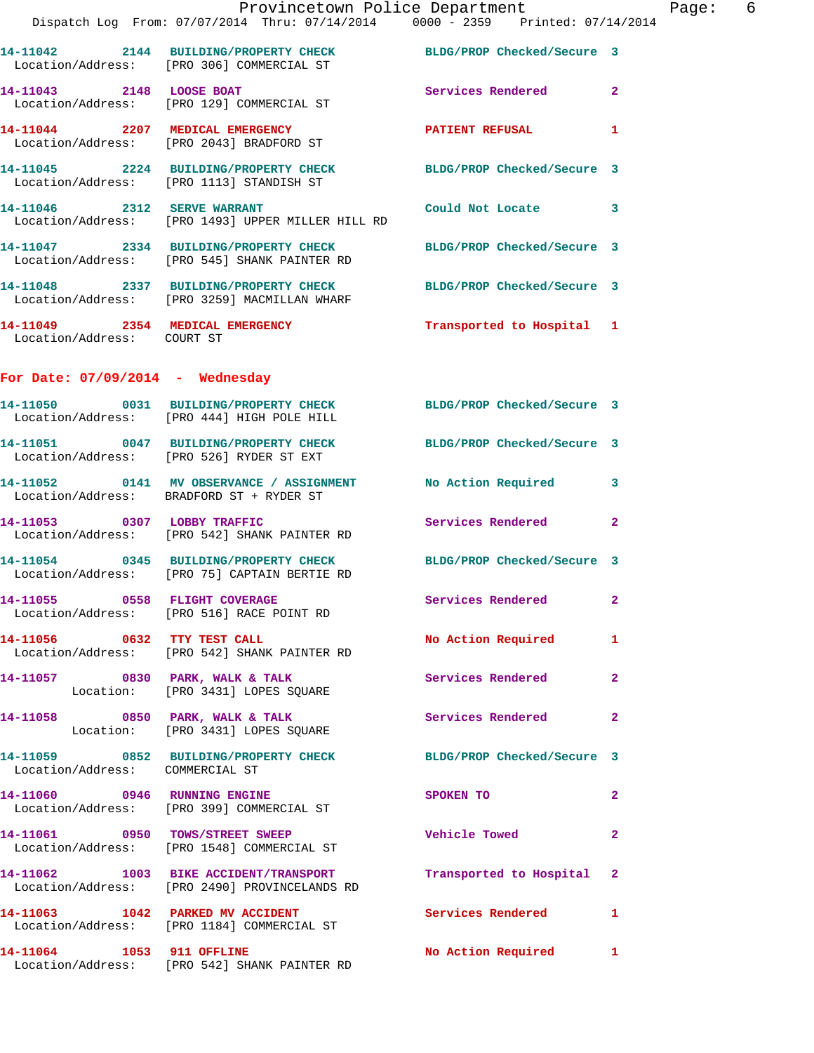|                                    | Provincetown Police Department<br>Dispatch Log From: 07/07/2014 Thru: 07/14/2014 0000 - 2359 Printed: 07/14/2014 |                            |                |
|------------------------------------|------------------------------------------------------------------------------------------------------------------|----------------------------|----------------|
|                                    | 14-11042 2144 BUILDING/PROPERTY CHECK BLDG/PROP Checked/Secure 3<br>Location/Address: [PRO 306] COMMERCIAL ST    |                            |                |
| 14-11043 2148 LOOSE BOAT           | Location/Address: [PRO 129] COMMERCIAL ST                                                                        | <b>Services Rendered</b>   | $\overline{2}$ |
|                                    | 14-11044 2207 MEDICAL EMERGENCY<br>Location/Address: [PRO 2043] BRADFORD ST                                      | <b>PATIENT REFUSAL</b>     | 1              |
|                                    | 14-11045 2224 BUILDING/PROPERTY CHECK<br>Location/Address: [PRO 1113] STANDISH ST                                | BLDG/PROP Checked/Secure 3 |                |
|                                    | 14-11046 2312 SERVE WARRANT<br>Location/Address: [PRO 1493] UPPER MILLER HILL RD                                 | Could Not Locate           | 3              |
|                                    | 14-11047 2334 BUILDING/PROPERTY CHECK BLDG/PROP Checked/Secure 3<br>Location/Address: [PRO 545] SHANK PAINTER RD |                            |                |
|                                    | 14-11048 2337 BUILDING/PROPERTY CHECK BLDG/PROP Checked/Secure 3<br>Location/Address: [PRO 3259] MACMILLAN WHARF |                            |                |
| Location/Address: COURT ST         | 14-11049 2354 MEDICAL EMERGENCY Transported to Hospital 1                                                        |                            |                |
| For Date: $07/09/2014$ - Wednesday |                                                                                                                  |                            |                |
|                                    | 14-11050 0031 BUILDING/PROPERTY CHECK BLDG/PROP Checked/Secure 3<br>Location/Address: [PRO 444] HIGH POLE HILL   |                            |                |
|                                    | 14-11051 0047 BUILDING/PROPERTY CHECK<br>Location/Address: [PRO 526] RYDER ST EXT                                | BLDG/PROP Checked/Secure 3 |                |
|                                    | 14-11052 0141 MV OBSERVANCE / ASSIGNMENT<br>Location/Address: BRADFORD ST + RYDER ST                             | <b>No Action Required</b>  | 3              |
|                                    | 14-11053 0307 LOBBY TRAFFIC<br>Location/Address: [PRO 542] SHANK PAINTER RD                                      | <b>Services Rendered</b>   | $\overline{2}$ |
|                                    | 14-11054 0345 BUILDING/PROPERTY CHECK<br>Location/Address: [PRO 75] CAPTAIN BERTIE RD                            | BLDG/PROP Checked/Secure 3 |                |
|                                    | 14-11055 0558 FLIGHT COVERAGE<br>Location/Address: [PRO 516] RACE POINT RD                                       | Services Rendered          | $\mathbf{2}$   |
| 14-11056 0632 TTY TEST CALL        | Location/Address: [PRO 542] SHANK PAINTER RD                                                                     | <b>No Action Required</b>  | 1              |
|                                    | 14-11057 0830 PARK, WALK & TALK<br>Location: [PRO 3431] LOPES SQUARE                                             | Services Rendered          | $\mathbf{2}$   |
|                                    | 14-11058 0850 PARK, WALK & TALK<br>Location: [PRO 3431] LOPES SQUARE                                             | <b>Services Rendered</b>   | $\overline{2}$ |
| Location/Address: COMMERCIAL ST    | 14-11059 0852 BUILDING/PROPERTY CHECK BLDG/PROP Checked/Secure 3                                                 |                            |                |
|                                    | 14-11060 0946 RUNNING ENGINE<br>Location/Address: [PRO 399] COMMERCIAL ST                                        | SPOKEN TO                  | $\mathbf{2}$   |
|                                    | 14-11061 0950 TOWS/STREET SWEEP<br>Location/Address: [PRO 1548] COMMERCIAL ST                                    | <b>Vehicle Towed</b>       | $\mathbf{2}$   |
|                                    | Location/Address: [PRO 2490] PROVINCELANDS RD                                                                    | Transported to Hospital    | $\mathbf{2}$   |
|                                    | 14-11063    1042    PARKED MV ACCIDENT<br>Location/Address: [PRO 1184] COMMERCIAL ST                             | <b>Services Rendered</b>   | 1              |
| 14-11064 1053 911 OFFLINE          |                                                                                                                  | No Action Required         | $\mathbf{1}$   |

Location/Address: [PRO 542] SHANK PAINTER RD

Page:  $6$ <br> $014$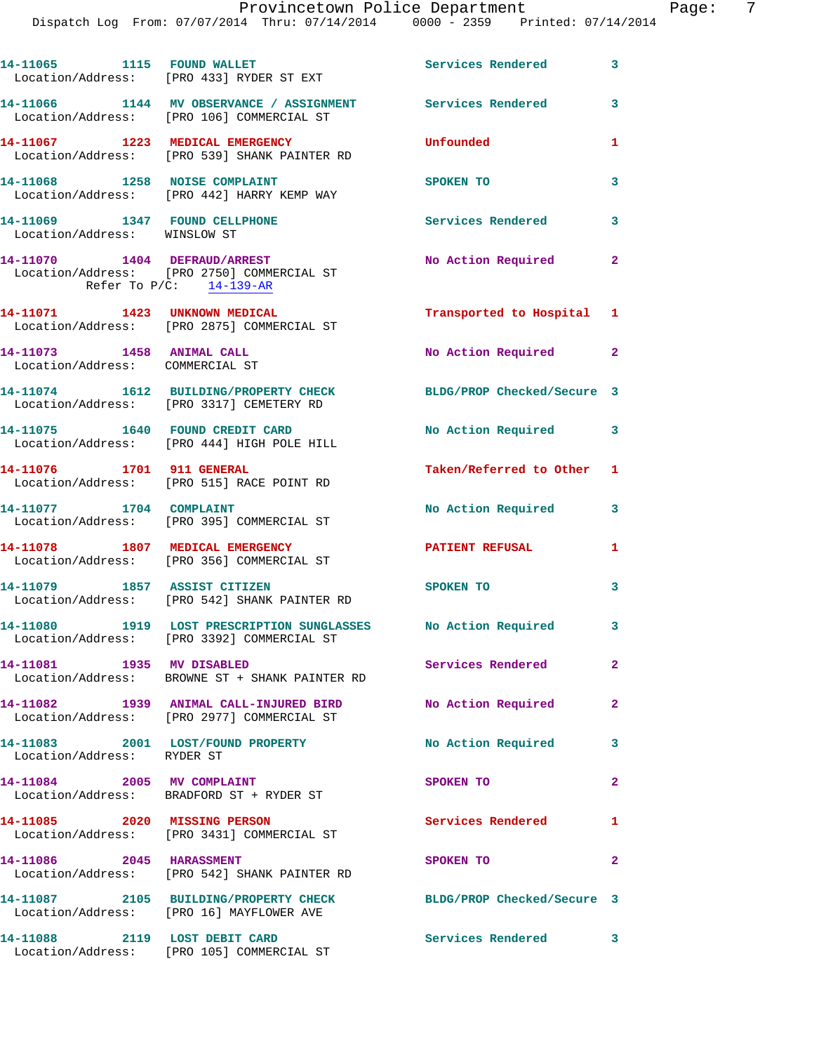Dispatch Log From: 07/07/2014 Thru: 07/14/2014 0000 - 2359 Printed: 07/14/2014

|                              | 14-11065 1115 FOUND WALLET<br>Location/Address: [PRO 433] RYDER ST EXT                                   | <b>Services Rendered</b>            | $\overline{\mathbf{3}}$ |
|------------------------------|----------------------------------------------------------------------------------------------------------|-------------------------------------|-------------------------|
|                              | 14-11066 1144 MV OBSERVANCE / ASSIGNMENT Services Rendered<br>Location/Address: [PRO 106] COMMERCIAL ST  |                                     | 3                       |
|                              | 14-11067 1223 MEDICAL EMERGENCY<br>Location/Address: [PRO 539] SHANK PAINTER RD                          | Unfounded                           | 1                       |
|                              | 14-11068 1258 NOISE COMPLAINT<br>Location/Address: [PRO 442] HARRY KEMP WAY                              | SPOKEN TO                           | 3                       |
| Location/Address: WINSLOW ST | 14-11069 1347 FOUND CELLPHONE                                                                            | <b>Services Rendered</b> 3          |                         |
|                              | 14-11070 1404 DEFRAUD/ARREST<br>Location/Address: [PRO 2750] COMMERCIAL ST<br>Refer To $P/C$ : 14-139-AR | No Action Required                  | $\mathbf{2}$            |
|                              | 14-11071 1423 UNKNOWN MEDICAL<br>Location/Address: [PRO 2875] COMMERCIAL ST                              | Transported to Hospital 1           |                         |
| 14-11073 1458 ANIMAL CALL    | Location/Address: COMMERCIAL ST                                                                          | No Action Required                  | $\mathbf{2}$            |
|                              | 14-11074 1612 BUILDING/PROPERTY CHECK<br>Location/Address: [PRO 3317] CEMETERY RD                        | BLDG/PROP Checked/Secure 3          |                         |
|                              | 14-11075 1640 FOUND CREDIT CARD<br>Location/Address: [PRO 444] HIGH POLE HILL                            | No Action Required 3                |                         |
|                              | 14-11076 1701 911 GENERAL<br>Location/Address: [PRO 515] RACE POINT RD                                   | Taken/Referred to Other 1           |                         |
| 14-11077 1704 COMPLAINT      | Location/Address: [PRO 395] COMMERCIAL ST                                                                | No Action Required                  | 3                       |
|                              | 14-11078 1807 MEDICAL EMERGENCY<br>Location/Address: [PRO 356] COMMERCIAL ST                             | <b>PATIENT REFUSAL</b>              | 1                       |
|                              | 14-11079 1857 ASSIST CITIZEN<br>Location/Address: [PRO 542] SHANK PAINTER RD                             | SPOKEN TO                           | 3                       |
|                              | 14-11080 1919 LOST PRESCRIPTION SUNGLASSES<br>Location/Address: [PRO 3392] COMMERCIAL ST                 | No Action Required                  | 3                       |
| 14-11081 1935 MV DISABLED    | Location/Address: BROWNE ST + SHANK PAINTER RD                                                           | Services Rendered                   | $\mathbf{2}$            |
|                              | 14-11082 1939 ANIMAL CALL-INJURED BIRD No Action Required<br>Location/Address: [PRO 2977] COMMERCIAL ST  |                                     | $\mathbf{2}$            |
| Location/Address: RYDER ST   | 14-11083 2001 LOST/FOUND PROPERTY                                                                        | No Action Required                  | 3                       |
|                              | 14-11084 2005 MV COMPLAINT<br>Location/Address: BRADFORD ST + RYDER ST                                   | SPOKEN TO                           | $\mathbf{2}$            |
|                              | 14-11085 2020 MISSING PERSON<br>Location/Address: [PRO 3431] COMMERCIAL ST                               | Services Rendered<br>$\blacksquare$ |                         |
|                              | 14-11086 2045 HARASSMENT<br>Location/Address: [PRO 542] SHANK PAINTER RD                                 | SPOKEN TO                           | $\mathbf{2}$            |
|                              | 14-11087 2105 BUILDING/PROPERTY CHECK<br>Location/Address: [PRO 16] MAYFLOWER AVE                        | BLDG/PROP Checked/Secure 3          |                         |
|                              | 14-11088 2119 LOST DEBIT CARD                                                                            | Services Rendered 3                 |                         |

Location/Address: [PRO 105] COMMERCIAL ST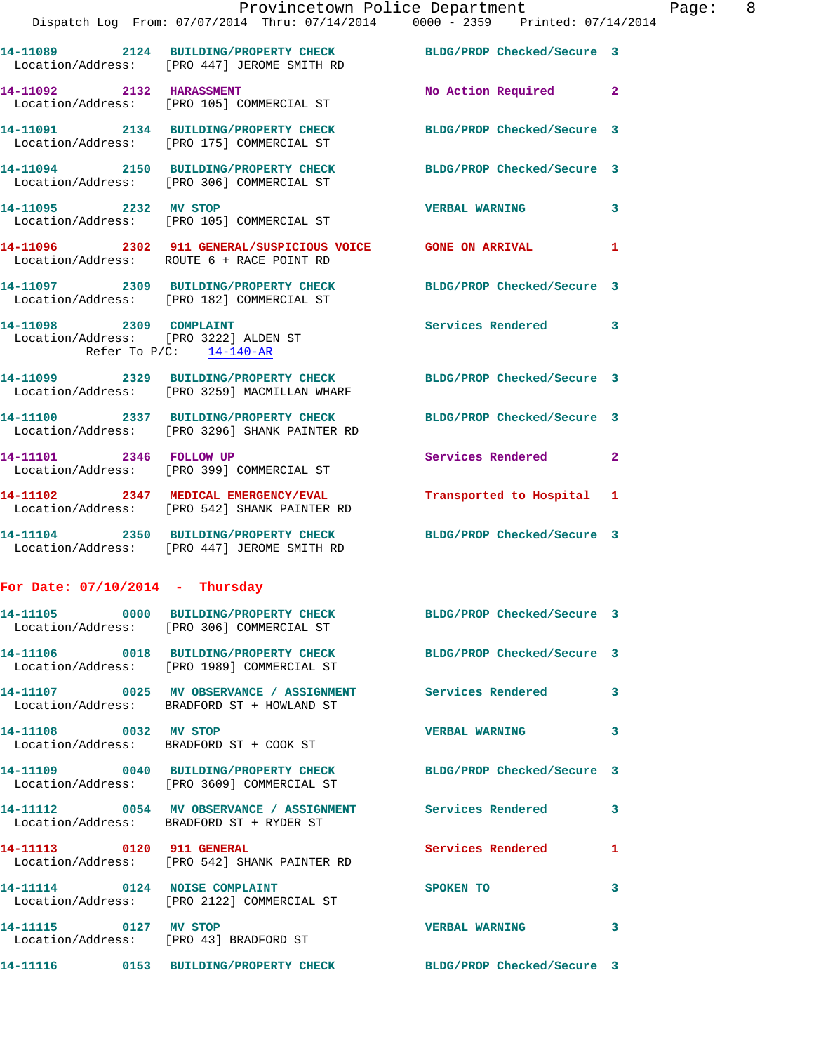|                                   | Provincetown Police Department                                                                                    |                            |                |
|-----------------------------------|-------------------------------------------------------------------------------------------------------------------|----------------------------|----------------|
|                                   | Dispatch Log From: 07/07/2014 Thru: 07/14/2014 0000 - 2359 Printed: 07/14/2014                                    |                            |                |
|                                   | 14-11089 2124 BUILDING/PROPERTY CHECK BLDG/PROP Checked/Secure 3<br>Location/Address: [PRO 447] JEROME SMITH RD   |                            |                |
| 14-11092 2132 HARASSMENT          | Location/Address: [PRO 105] COMMERCIAL ST                                                                         | <b>No Action Required</b>  | $\mathbf{2}$   |
|                                   | 14-11091 2134 BUILDING/PROPERTY CHECK<br>Location/Address: [PRO 175] COMMERCIAL ST                                | BLDG/PROP Checked/Secure 3 |                |
|                                   | 14-11094 2150 BUILDING/PROPERTY CHECK BLDG/PROP Checked/Secure 3<br>Location/Address: [PRO 306] COMMERCIAL ST     |                            |                |
| 14-11095 2232 MV STOP             | Location/Address: [PRO 105] COMMERCIAL ST                                                                         | <b>VERBAL WARNING</b>      | 3              |
|                                   | 14-11096 2302 911 GENERAL/SUSPICIOUS VOICE GONE ON ARRIVAL<br>Location/Address: ROUTE 6 + RACE POINT RD           |                            | 1              |
|                                   | 14-11097 2309 BUILDING/PROPERTY CHECK<br>Location/Address: [PRO 182] COMMERCIAL ST                                | BLDG/PROP Checked/Secure 3 |                |
| 14-11098 2309 COMPLAINT           | Location/Address: [PRO 3222] ALDEN ST<br>Refer To P/C: 14-140-AR                                                  | Services Rendered          | 3              |
|                                   | 14-11099 2329 BUILDING/PROPERTY CHECK BLDG/PROP Checked/Secure 3<br>Location/Address: [PRO 3259] MACMILLAN WHARF  |                            |                |
|                                   | 14-11100 2337 BUILDING/PROPERTY CHECK BLDG/PROP Checked/Secure 3<br>Location/Address: [PRO 3296] SHANK PAINTER RD |                            |                |
| 14-11101 2346 FOLLOW UP           | Location/Address: [PRO 399] COMMERCIAL ST                                                                         | <b>Services Rendered</b>   | $\overline{2}$ |
|                                   | 14-11102 2347 MEDICAL EMERGENCY/EVAL<br>Location/Address: [PRO 542] SHANK PAINTER RD                              | Transported to Hospital 1  |                |
|                                   | 14-11104 2350 BUILDING/PROPERTY CHECK BLDG/PROP Checked/Secure 3<br>Location/Address: [PRO 447] JEROME SMITH RD   |                            |                |
| For Date: $07/10/2014$ - Thursday |                                                                                                                   |                            |                |
|                                   | Location/Address: [PRO 306] COMMERCIAL ST                                                                         | BLDG/PROP Checked/Secure 3 |                |
|                                   | 14-11106 0018 BUILDING/PROPERTY CHECK BLDG/PROP Checked/Secure 3<br>Location/Address: [PRO 1989] COMMERCIAL ST    |                            |                |
|                                   | 14-11107 0025 MV OBSERVANCE / ASSIGNMENT Services Rendered<br>Location/Address: BRADFORD ST + HOWLAND ST          |                            | 3              |
| 14-11108 0032 MV STOP             | Location/Address: BRADFORD ST + COOK ST                                                                           | <b>VERBAL WARNING</b>      | 3              |
|                                   | 14-11109 0040 BUILDING/PROPERTY CHECK BLDG/PROP Checked/Secure 3<br>Location/Address: [PRO 3609] COMMERCIAL ST    |                            |                |
|                                   | 14-11112 0054 MV OBSERVANCE / ASSIGNMENT Services Rendered<br>Location/Address: BRADFORD ST + RYDER ST            |                            | 3              |
| 14-11113 0120 911 GENERAL         | Location/Address: [PRO 542] SHANK PAINTER RD                                                                      | Services Rendered          | 1              |
|                                   | 14-11114 0124 NOISE COMPLAINT<br>Location/Address: [PRO 2122] COMMERCIAL ST                                       | SPOKEN TO                  | 3              |
| 14-11115 0127 MV STOP             | Location/Address: [PRO 43] BRADFORD ST                                                                            | <b>VERBAL WARNING</b>      | 3              |
|                                   | 14-11116 0153 BUILDING/PROPERTY CHECK BLDG/PROP Checked/Secure 3                                                  |                            |                |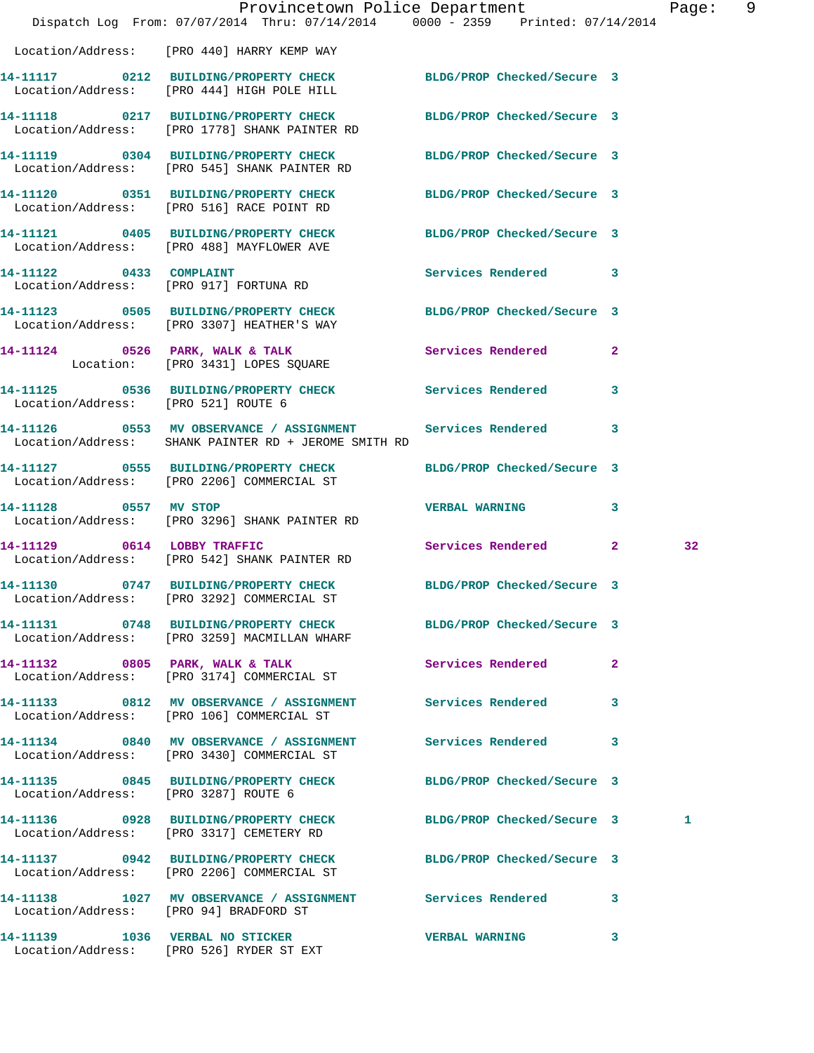|                                        | Dispatch Log From: 07/07/2014 Thru: 07/14/2014 0000 - 2359 Printed: 07/14/2014                                     | Provincetown Police Department |              | Page: | 9 |
|----------------------------------------|--------------------------------------------------------------------------------------------------------------------|--------------------------------|--------------|-------|---|
|                                        | Location/Address: [PRO 440] HARRY KEMP WAY                                                                         |                                |              |       |   |
|                                        | 14-11117 0212 BUILDING/PROPERTY CHECK BLDG/PROP Checked/Secure 3<br>Location/Address: [PRO 444] HIGH POLE HILL     |                                |              |       |   |
|                                        | 14-11118 0217 BUILDING/PROPERTY CHECK BLDG/PROP Checked/Secure 3<br>Location/Address: [PRO 1778] SHANK PAINTER RD  |                                |              |       |   |
|                                        | 14-11119 0304 BUILDING/PROPERTY CHECK<br>Location/Address: [PRO 545] SHANK PAINTER RD                              | BLDG/PROP Checked/Secure 3     |              |       |   |
|                                        | 14-11120 0351 BUILDING/PROPERTY CHECK<br>Location/Address: [PRO 516] RACE POINT RD                                 | BLDG/PROP Checked/Secure 3     |              |       |   |
|                                        | 14-11121 0405 BUILDING/PROPERTY CHECK BLDG/PROP Checked/Secure 3<br>Location/Address: [PRO 488] MAYFLOWER AVE      |                                |              |       |   |
|                                        | 14-11122 0433 COMPLAINT<br>Location/Address: [PRO 917] FORTUNA RD                                                  | Services Rendered 3            |              |       |   |
|                                        | 14-11123 0505 BUILDING/PROPERTY CHECK BLDG/PROP Checked/Secure 3<br>Location/Address: [PRO 3307] HEATHER'S WAY     |                                |              |       |   |
|                                        | 14-11124 0526 PARK, WALK & TALK<br>Location: [PRO 3431] LOPES SQUARE                                               | <b>Services Rendered</b>       | $\mathbf{2}$ |       |   |
| Location/Address: [PRO 521] ROUTE 6    | 14-11125 0536 BUILDING/PROPERTY CHECK Services Rendered                                                            |                                | $\mathbf{3}$ |       |   |
|                                        | 14-11126 0553 MV OBSERVANCE / ASSIGNMENT Services Rendered<br>Location/Address: SHANK PAINTER RD + JEROME SMITH RD |                                | 3            |       |   |
|                                        | 14-11127 0555 BUILDING/PROPERTY CHECK BLDG/PROP Checked/Secure 3<br>Location/Address: [PRO 2206] COMMERCIAL ST     |                                |              |       |   |
|                                        | 14-11128 0557 MV STOP<br>Location/Address: [PRO 3296] SHANK PAINTER RD                                             | <b>VERBAL WARNING</b>          | 3            |       |   |
| 14-11129 0614 LOBBY TRAFFIC            | Location/Address: [PRO 542] SHANK PAINTER RD                                                                       | Services Rendered 2            |              | 32    |   |
|                                        | 14-11130 0747 BUILDING/PROPERTY CHECK BLDG/PROP Checked/Secure 3<br>Location/Address: [PRO 3292] COMMERCIAL ST     |                                |              |       |   |
|                                        | 14-11131 0748 BUILDING/PROPERTY CHECK BLDG/PROP Checked/Secure 3<br>Location/Address: [PRO 3259] MACMILLAN WHARF   |                                |              |       |   |
|                                        | 14-11132 0805 PARK, WALK & TALK<br>Location/Address: [PRO 3174] COMMERCIAL ST                                      | Services Rendered              | $\mathbf{2}$ |       |   |
|                                        | 14-11133 0812 MV OBSERVANCE / ASSIGNMENT Services Rendered 3<br>Location/Address: [PRO 106] COMMERCIAL ST          |                                |              |       |   |
|                                        | 14-11134 0840 MV OBSERVANCE / ASSIGNMENT Services Rendered<br>Location/Address: [PRO 3430] COMMERCIAL ST           |                                | 3            |       |   |
| Location/Address: [PRO 3287] ROUTE 6   | 14-11135 0845 BUILDING/PROPERTY CHECK BLDG/PROP Checked/Secure 3                                                   |                                |              |       |   |
|                                        | 14-11136 0928 BUILDING/PROPERTY CHECK BLDG/PROP Checked/Secure 3<br>Location/Address: [PRO 3317] CEMETERY RD       |                                |              | 1     |   |
|                                        | 14-11137 0942 BUILDING/PROPERTY CHECK BLDG/PROP Checked/Secure 3<br>Location/Address: [PRO 2206] COMMERCIAL ST     |                                |              |       |   |
| Location/Address: [PRO 94] BRADFORD ST | 14-11138 1027 MV OBSERVANCE / ASSIGNMENT Services Rendered 3                                                       |                                |              |       |   |
| 14-11139 1036 VERBAL NO STICKER        | Location/Address: [PRO 526] RYDER ST EXT                                                                           | <b>VERBAL WARNING</b>          | 3            |       |   |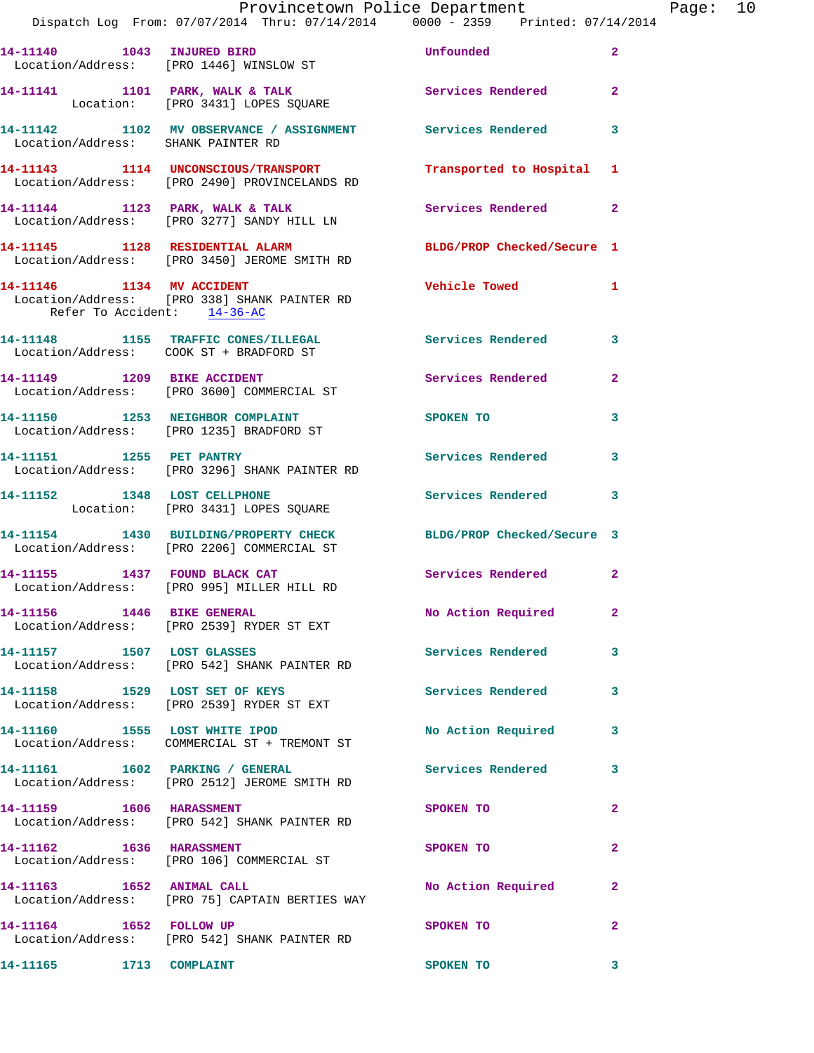|                                    | Provincetown Police Department Page: 10                                                                        |                                      |              |  |
|------------------------------------|----------------------------------------------------------------------------------------------------------------|--------------------------------------|--------------|--|
|                                    | 14-11140 1043 INJURED BIRD<br>Location/Address: [PRO 1446] WINSLOW ST                                          | <b>Example 12</b> Unfounded the 2    |              |  |
|                                    | 14-11141 1101 PARK, WALK & TALK Services Rendered 2<br>Location: [PRO 3431] LOPES SQUARE                       |                                      |              |  |
| Location/Address: SHANK PAINTER RD | 14-11142 1102 MV OBSERVANCE / ASSIGNMENT Services Rendered 3                                                   |                                      |              |  |
|                                    | 14-11143 1114 UNCONSCIOUS/TRANSPORT Transported to Hospital 1<br>Location/Address: [PRO 2490] PROVINCELANDS RD |                                      |              |  |
|                                    | 14-11144 1123 PARK, WALK & TALK Services Rendered 2<br>Location/Address: [PRO 3277] SANDY HILL LN              |                                      |              |  |
|                                    | 14-11145 1128 RESIDENTIAL ALARM BLDG/PROP Checked/Secure 1<br>Location/Address: [PRO 3450] JEROME SMITH RD     |                                      |              |  |
| Refer To Accident: 14-36-AC        | 14-11146 1134 MV ACCIDENT<br>Location/Address: [PRO 338] SHANK PAINTER RD                                      | Vehicle Towed 1                      |              |  |
|                                    | 14-11148 1155 TRAFFIC CONES/ILLEGAL Services Rendered<br>Location/Address: COOK ST + BRADFORD ST               |                                      | $\mathbf{3}$ |  |
|                                    | 14-11149 1209 BIKE ACCIDENT <b>1208 Services</b> Rendered 2<br>Location/Address: [PRO 3600] COMMERCIAL ST      |                                      |              |  |
|                                    | 14-11150 1253 NEIGHBOR COMPLAINT<br>Location/Address: [PRO 1235] BRADFORD ST                                   | SPOKEN TO THE STATE OF THE SPOKEN TO | 3            |  |
|                                    | 14-11151 1255 PET PANTRY<br>Location/Address: [PRO 3296] SHANK PAINTER RD                                      | Services Rendered 3                  |              |  |
|                                    | 14-11152 1348 LOST CELLPHONE<br>Location: [PRO 3431] LOPES SQUARE                                              | Services Rendered 3                  |              |  |
|                                    | 14-11154 1430 BUILDING/PROPERTY CHECK BLDG/PROP Checked/Secure 3<br>Location/Address: [PRO 2206] COMMERCIAL ST |                                      |              |  |
|                                    | 14-11155 1437 FOUND BLACK CAT Services Rendered 2<br>Location/Address: [PRO 995] MILLER HILL RD                |                                      |              |  |
|                                    | 14-11156    1446 BIKE GENERAL<br>Location/Address: [PRO 2539] RYDER ST EXT                                     | No Action Required                   | $\mathbf{2}$ |  |
|                                    | 14-11157 1507 LOST GLASSES<br>Location/Address: [PRO 542] SHANK PAINTER RD                                     | Services Rendered                    | 3            |  |
|                                    | 14-11158 1529 LOST SET OF KEYS<br>Location/Address: [PRO 2539] RYDER ST EXT                                    | Services Rendered 3                  |              |  |
|                                    | 14-11160 1555 LOST WHITE IPOD<br>Location/Address: COMMERCIAL ST + TREMONT ST                                  | No Action Required                   | $\mathbf{3}$ |  |
|                                    | 14-11161    1602    PARKING / GENERAL<br>Location/Address: [PRO 2512] JEROME SMITH RD                          | Services Rendered 3                  |              |  |
| 14-11159 1606 HARASSMENT           | Location/Address: [PRO 542] SHANK PAINTER RD                                                                   | SPOKEN TO                            | $\mathbf{2}$ |  |
| 14-11162 1636 HARASSMENT           | Location/Address: [PRO 106] COMMERCIAL ST                                                                      | SPOKEN TO                            | $\mathbf{2}$ |  |
| 14-11163 1652 ANIMAL CALL          | Location/Address: [PRO 75] CAPTAIN BERTIES WAY                                                                 | No Action Required                   | $\mathbf{2}$ |  |
| 14-11164 1652 FOLLOW UP            | Location/Address: [PRO 542] SHANK PAINTER RD                                                                   | <b>SPOKEN TO</b>                     | $\mathbf{2}$ |  |

**14-11165 1713 COMPLAINT SPOKEN TO 3**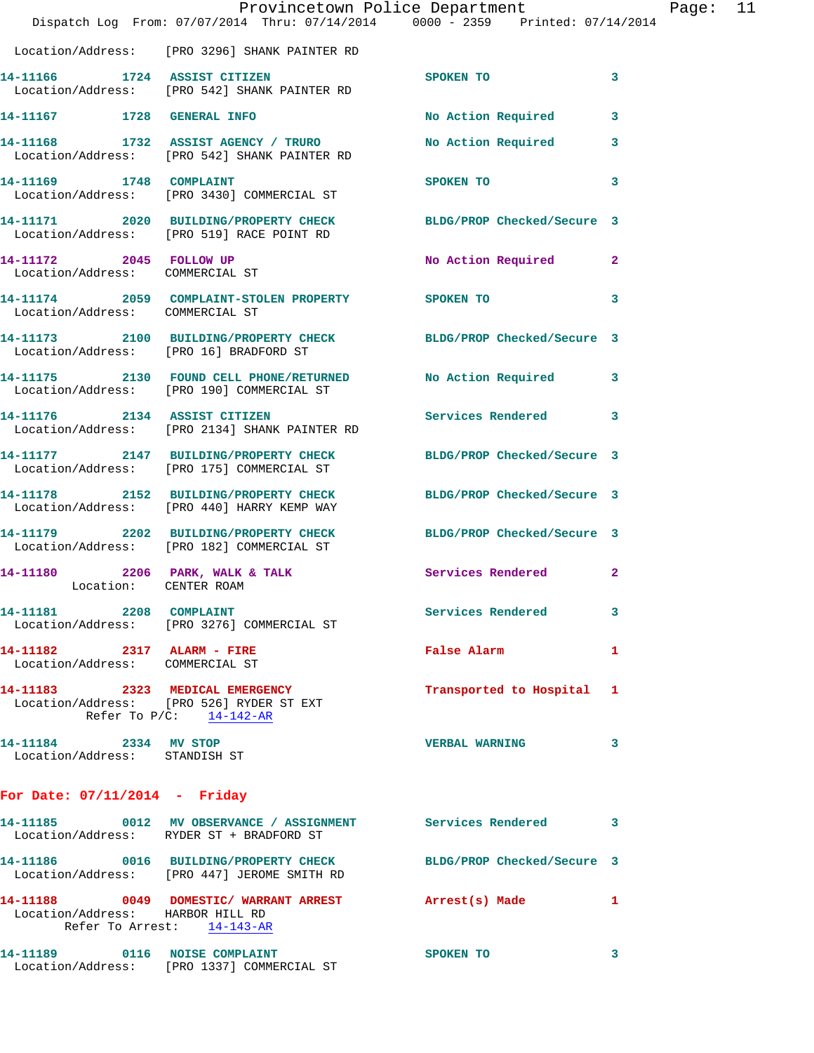|                                                               | Provincetown Police Department<br>Dispatch Log From: 07/07/2014 Thru: 07/14/2014 0000 - 2359 Printed: 07/14/2014 |                            |                |
|---------------------------------------------------------------|------------------------------------------------------------------------------------------------------------------|----------------------------|----------------|
|                                                               | Location/Address: [PRO 3296] SHANK PAINTER RD                                                                    |                            |                |
|                                                               | 14-11166 1724 ASSIST CITIZEN<br>Location/Address: [PRO 542] SHANK PAINTER RD                                     | <b>SPOKEN TO</b>           | 3              |
|                                                               | 14-11167 1728 GENERAL INFO                                                                                       | No Action Required         | 3              |
|                                                               | 14-11168 1732 ASSIST AGENCY / TRURO<br>Location/Address: [PRO 542] SHANK PAINTER RD                              | <b>No Action Required</b>  | 3              |
| 14-11169 1748 COMPLAINT                                       | Location/Address: [PRO 3430] COMMERCIAL ST                                                                       | SPOKEN TO                  | 3              |
|                                                               | 14-11171 2020 BUILDING/PROPERTY CHECK BLDG/PROP Checked/Secure 3<br>Location/Address: [PRO 519] RACE POINT RD    |                            |                |
| 14-11172 2045 FOLLOW UP<br>Location/Address: COMMERCIAL ST    |                                                                                                                  | No Action Required         | $\overline{2}$ |
|                                                               | 14-11174 2059 COMPLAINT-STOLEN PROPERTY SPOKEN TO<br>Location/Address: COMMERCIAL ST                             |                            | 3              |
| Location/Address: [PRO 16] BRADFORD ST                        | 14-11173 2100 BUILDING/PROPERTY CHECK BLDG/PROP Checked/Secure 3                                                 |                            |                |
|                                                               | 14-11175 2130 FOUND CELL PHONE/RETURNED No Action Required<br>Location/Address: [PRO 190] COMMERCIAL ST          |                            | 3              |
|                                                               | 14-11176 2134 ASSIST CITIZEN<br>Location/Address: [PRO 2134] SHANK PAINTER RD                                    | Services Rendered          | 3              |
|                                                               | 14-11177 2147 BUILDING/PROPERTY CHECK<br>Location/Address: [PRO 175] COMMERCIAL ST                               | BLDG/PROP Checked/Secure 3 |                |
|                                                               | 14-11178 2152 BUILDING/PROPERTY CHECK BLDG/PROP Checked/Secure 3<br>Location/Address: [PRO 440] HARRY KEMP WAY   |                            |                |
|                                                               | 14-11179 2202 BUILDING/PROPERTY CHECK BLDG/PROP Checked/Secure 3<br>Location/Address: [PRO 182] COMMERCIAL ST    |                            |                |
| Location: CENTER ROAM                                         | 14-11180 2206 PARK, WALK & TALK Services Rendered                                                                |                            | 2              |
| 14-11181 2208 COMPLAINT                                       | Location/Address: [PRO 3276] COMMERCIAL ST                                                                       | Services Rendered          | 3              |
| 14-11182 2317 ALARM - FIRE<br>Location/Address: COMMERCIAL ST |                                                                                                                  | False Alarm                | 1              |
|                                                               | 14-11183 2323 MEDICAL EMERGENCY<br>Location/Address: [PRO 526] RYDER ST EXT<br>Refer To $P/C$ : 14-142-AR        | Transported to Hospital    | 1              |
| 14-11184 2334 MV STOP<br>Location/Address: STANDISH ST        |                                                                                                                  | <b>VERBAL WARNING</b>      | 3              |
| For Date: $07/11/2014$ - Friday                               |                                                                                                                  |                            |                |

## **14-11185 0012 MV OBSERVANCE / ASSIGNMENT Services Rendered 3**  Location/Address: RYDER ST + BRADFORD ST **14-11186 0016 BUILDING/PROPERTY CHECK BLDG/PROP Checked/Secure 3**  Location/Address: [PRO 447] JEROME SMITH RD **14-11188 0049 DOMESTIC/ WARRANT ARREST Arrest(s) Made 1**  Location/Address: HARBOR HILL RD Refer To Arrest: 14-143-AR 14-11189 0116 NOISE COMPLAINT SPOKEN TO 3 Location/Address: [PRO 1337] COMMERCIAL ST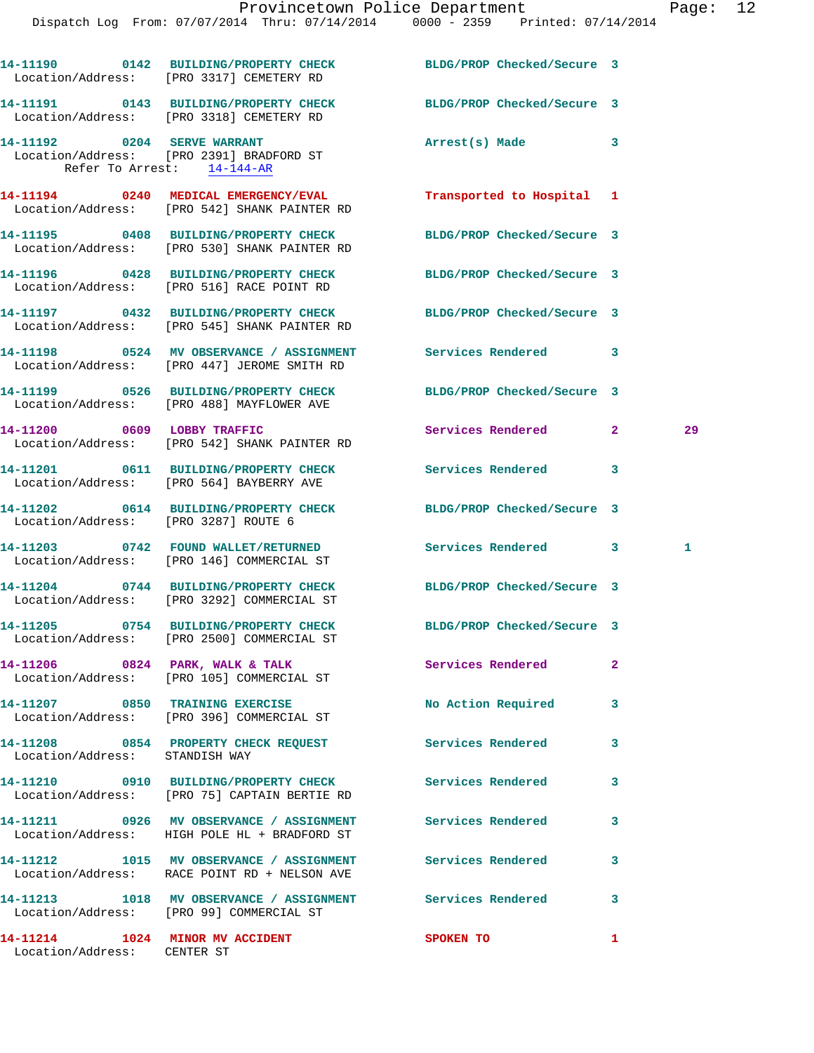Dispatch Log From: 07/07/2014 Thru: 07/14/2014 0000 - 2359 Printed: 07/14/2014

|                                | 14-11190 0142 BUILDING/PROPERTY CHECK<br>Location/Address: [PRO 3317] CEMETERY RD                          | BLDG/PROP Checked/Secure 3 |                |    |
|--------------------------------|------------------------------------------------------------------------------------------------------------|----------------------------|----------------|----|
|                                | 14-11191 0143 BUILDING/PROPERTY CHECK<br>Location/Address: [PRO 3318] CEMETERY RD                          | BLDG/PROP Checked/Secure 3 |                |    |
|                                | 14-11192 0204 SERVE WARRANT<br>Location/Address: [PRO 2391] BRADFORD ST<br>Refer To Arrest: 14-144-AR      | Arrest(s) Made             | 3              |    |
|                                | 14-11194 0240 MEDICAL EMERGENCY/EVAL<br>Location/Address: [PRO 542] SHANK PAINTER RD                       | Transported to Hospital 1  |                |    |
|                                | 14-11195 0408 BUILDING/PROPERTY CHECK<br>Location/Address: [PRO 530] SHANK PAINTER RD                      | BLDG/PROP Checked/Secure 3 |                |    |
|                                | 14-11196 0428 BUILDING/PROPERTY CHECK<br>Location/Address: [PRO 516] RACE POINT RD                         | BLDG/PROP Checked/Secure 3 |                |    |
|                                | 14-11197 0432 BUILDING/PROPERTY CHECK<br>Location/Address: [PRO 545] SHANK PAINTER RD                      | BLDG/PROP Checked/Secure 3 |                |    |
|                                | 14-11198 0524 MV OBSERVANCE / ASSIGNMENT Services Rendered<br>Location/Address: [PRO 447] JEROME SMITH RD  |                            | 3              |    |
|                                | 14-11199 0526 BUILDING/PROPERTY CHECK<br>Location/Address: [PRO 488] MAYFLOWER AVE                         | BLDG/PROP Checked/Secure 3 |                |    |
|                                | 14-11200 0609 LOBBY TRAFFIC<br>Location/Address: [PRO 542] SHANK PAINTER RD                                | Services Rendered          | $\overline{2}$ | 29 |
|                                | 14-11201 0611 BUILDING/PROPERTY CHECK<br>Location/Address: [PRO 564] BAYBERRY AVE                          | Services Rendered          | $\mathbf{3}$   |    |
|                                | 14-11202 0614 BUILDING/PROPERTY CHECK<br>Location/Address: [PRO 3287] ROUTE 6                              | BLDG/PROP Checked/Secure 3 |                |    |
|                                | 14-11203 0742 FOUND WALLET/RETURNED<br>Location/Address: [PRO 146] COMMERCIAL ST                           | Services Rendered 3        |                | 1. |
|                                | 14-11204 0744 BUILDING/PROPERTY CHECK<br>Location/Address: [PRO 3292] COMMERCIAL ST                        | BLDG/PROP Checked/Secure 3 |                |    |
| 14-11205                       | 0754 BUILDING/PROPERTY CHECK<br>Location/Address: [PRO 2500] COMMERCIAL ST                                 | BLDG/PROP Checked/Secure 3 |                |    |
|                                | 14-11206 0824 PARK, WALK & TALK Services Rendered<br>Location/Address: [PRO 105] COMMERCIAL ST             |                            | $\mathbf{2}$   |    |
|                                | 14-11207 0850 TRAINING EXERCISE<br>Location/Address: [PRO 396] COMMERCIAL ST                               | No Action Required         | 3              |    |
| Location/Address: STANDISH WAY | 14-11208 0854 PROPERTY CHECK REQUEST Services Rendered                                                     |                            | 3              |    |
|                                | 14-11210 0910 BUILDING/PROPERTY CHECK Services Rendered<br>Location/Address: [PRO 75] CAPTAIN BERTIE RD    |                            | 3              |    |
|                                | 14-11211 0926 MV OBSERVANCE / ASSIGNMENT Services Rendered<br>Location/Address: HIGH POLE HL + BRADFORD ST |                            | 3              |    |
|                                | 14-11212 1015 MV OBSERVANCE / ASSIGNMENT Services Rendered<br>Location/Address: RACE POINT RD + NELSON AVE |                            | 3              |    |
|                                | 14-11213 1018 MV OBSERVANCE / ASSIGNMENT Services Rendered<br>Location/Address: [PRO 99] COMMERCIAL ST     |                            | 3              |    |
|                                | 14-11214    1024    MINOR MV ACCIDENT                                                                      | <b>SPOKEN TO</b>           | $\mathbf{1}$   |    |

Location/Address: CENTER ST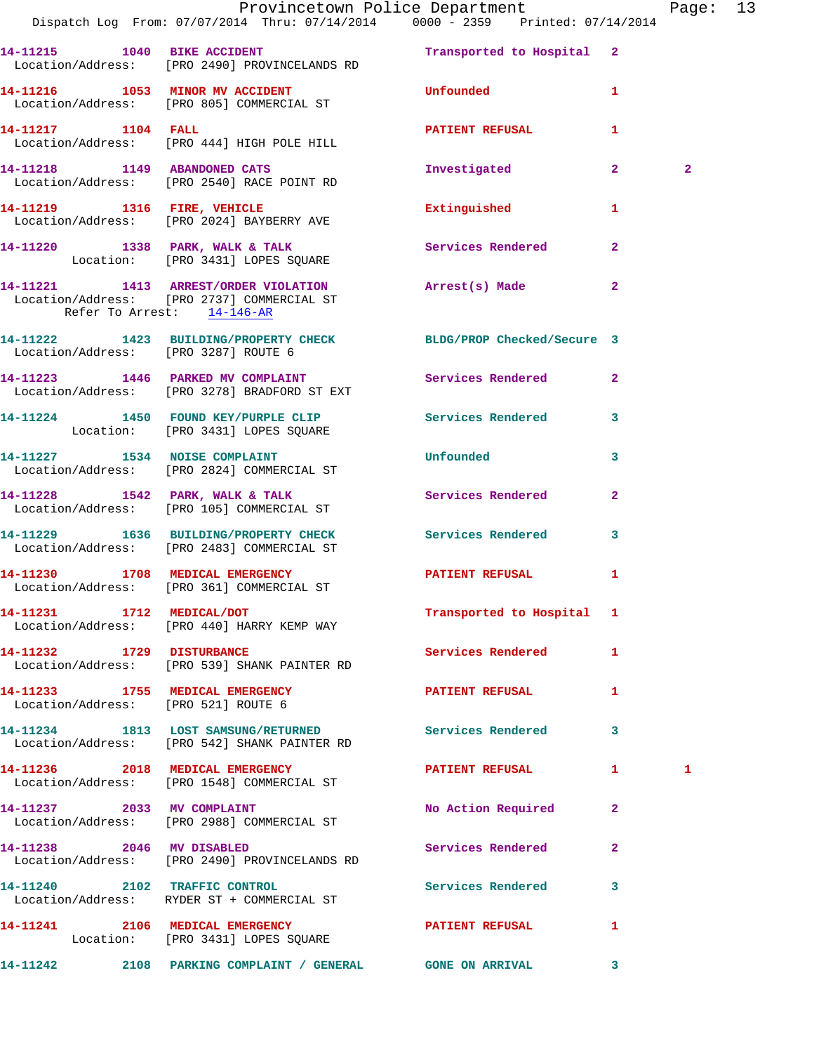|                                      | Dispatch Log From: 07/07/2014 Thru: 07/14/2014   0000 - 2359   Printed: 07/14/2014                                | Provincetown Police Department Page: 13 |                   |                |  |
|--------------------------------------|-------------------------------------------------------------------------------------------------------------------|-----------------------------------------|-------------------|----------------|--|
|                                      | 14-11215 1040 BIKE ACCIDENT 100 Transported to Hospital 2<br>Location/Address: [PRO 2490] PROVINCELANDS RD        |                                         |                   |                |  |
|                                      | 14-11216 1053 MINOR MV ACCIDENT Unfounded<br>Location/Address: [PRO 805] COMMERCIAL ST                            |                                         | $\mathbf{1}$      |                |  |
|                                      | 14-11217 1104 FALL<br>Location/Address: [PRO 444] HIGH POLE HILL                                                  | PATIENT REFUSAL                         | 1                 |                |  |
|                                      | 14-11218 1149 ABANDONED CATS<br>Location/Address: [PRO 2540] RACE POINT RD                                        | Investigated                            | $\mathbf{2}$      | $\overline{2}$ |  |
|                                      | 14-11219 1316 FIRE, VEHICLE<br>Location/Address: [PRO 2024] BAYBERRY AVE                                          | Extinguished                            | 1                 |                |  |
|                                      | 14-11220 1338 PARK, WALK & TALK 1988 Services Rendered<br>Location: [PRO 3431] LOPES SQUARE                       |                                         | $\overline{2}$    |                |  |
| Refer To Arrest: 14-146-AR           | 14-11221 1413 ARREST/ORDER VIOLATION Arrest(s) Made<br>Location/Address: [PRO 2737] COMMERCIAL ST                 |                                         | $\mathbf{2}$      |                |  |
| Location/Address: [PRO 3287] ROUTE 6 | 14-11222 1423 BUILDING/PROPERTY CHECK BLDG/PROP Checked/Secure 3                                                  |                                         |                   |                |  |
|                                      | 14-11223 1446 PARKED MV COMPLAINT Services Rendered 2<br>Location/Address: [PRO 3278] BRADFORD ST EXT             |                                         |                   |                |  |
|                                      | 14-11224 1450 FOUND KEY/PURPLE CLIP Services Rendered<br>Location: [PRO 3431] LOPES SQUARE                        |                                         | 3                 |                |  |
|                                      | 14-11227 1534 NOISE COMPLAINT 1999 Unfounded<br>Location/Address: [PRO 2824] COMMERCIAL ST                        |                                         | 3                 |                |  |
|                                      | 14-11228 1542 PARK, WALK & TALK (Services Rendered Location/Address: [PRO 105] COMMERCIAL ST                      |                                         | $\mathbf{2}$      |                |  |
|                                      | 14-11229 1636 BUILDING/PROPERTY CHECK Services Rendered<br>Location/Address: [PRO 2483] COMMERCIAL ST             |                                         | 3                 |                |  |
|                                      | 14-11230 1708 MEDICAL EMERGENCY<br>Location/Address: [PRO 361] COMMERCIAL ST                                      | PATIENT REFUSAL                         | 1                 |                |  |
|                                      | 14-11231 1712 MEDICAL/DOT<br>Location/Address: [PRO 440] HARRY KEMP WAY                                           | Transported to Hospital 1               |                   |                |  |
|                                      | 14-11232 1729 DISTURBANCE<br>Location/Address: [PRO 539] SHANK PAINTER RD                                         | <b>Services Rendered</b>                | $\mathbf{1}$      |                |  |
|                                      | 14-11233 1755 MEDICAL EMERGENCY<br>Location/Address: [PRO 521] ROUTE 6                                            | PATIENT REFUSAL 1                       |                   |                |  |
|                                      | 14-11234 1813 LOST SAMSUNG/RETURNED Services Rendered<br>Location/Address: [PRO 542] SHANK PAINTER RD             |                                         | 3                 |                |  |
|                                      | 14-11236 2018 MEDICAL EMERGENCY <b>Example 2018</b> PATIENT REFUSAL<br>Location/Address: [PRO 1548] COMMERCIAL ST |                                         | $1 \qquad \qquad$ | 1              |  |
|                                      | 14-11237 2033 MV COMPLAINT<br>Location/Address: [PRO 2988] COMMERCIAL ST                                          | No Action Required                      | 2                 |                |  |
| 14-11238 2046 MV DISABLED            | Location/Address: [PRO 2490] PROVINCELANDS RD                                                                     | Services Rendered                       | $\mathbf{2}$      |                |  |
|                                      | 14-11240 2102 TRAFFIC CONTROL<br>Location/Address: RYDER ST + COMMERCIAL ST                                       | Services Rendered                       | $\mathbf{3}$      |                |  |
|                                      | 14-11241 2106 MEDICAL EMERGENCY<br>Location: [PRO 3431] LOPES SQUARE                                              | PATIENT REFUSAL                         | 1                 |                |  |
|                                      | 14-11242 2108 PARKING COMPLAINT / GENERAL GONE ON ARRIVAL                                                         |                                         | $\mathbf{3}$      |                |  |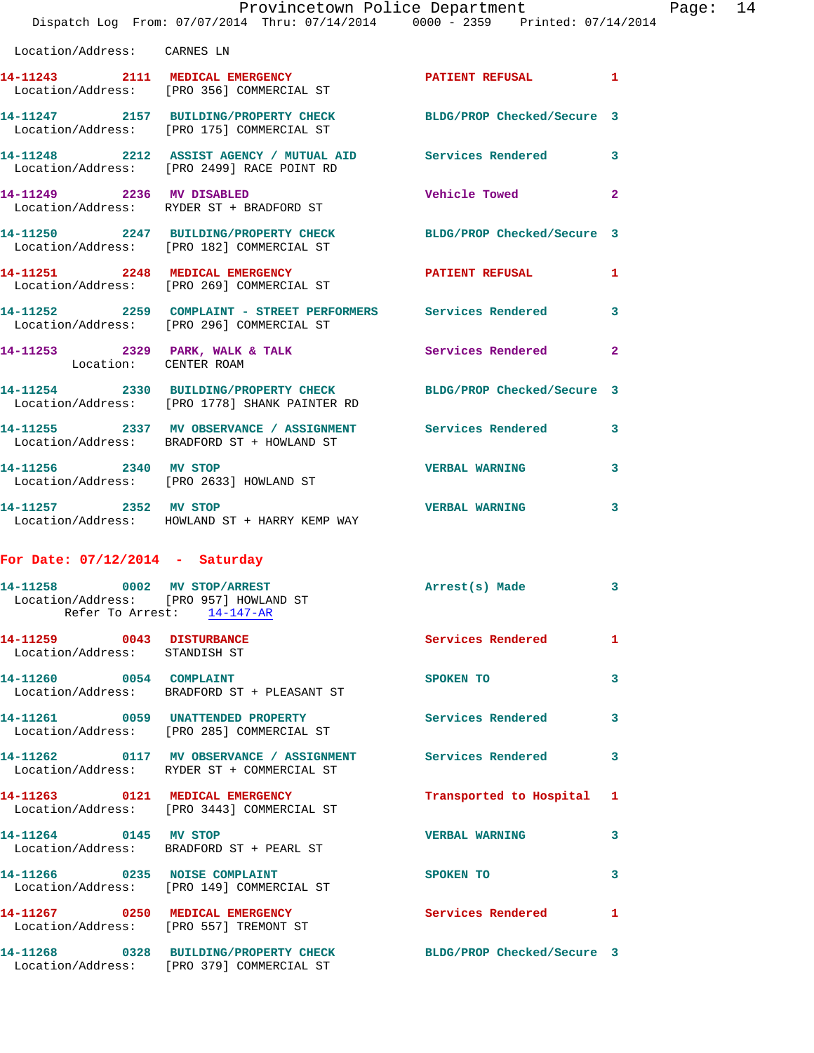| Location/Address: CARNES LN                                                                          |                                                                                                                   |                            |   |
|------------------------------------------------------------------------------------------------------|-------------------------------------------------------------------------------------------------------------------|----------------------------|---|
|                                                                                                      | 14-11243 2111 MEDICAL EMERGENCY<br>Location/Address: [PRO 356] COMMERCIAL ST                                      | PATIENT REFUSAL 1          |   |
|                                                                                                      | 14-11247 2157 BUILDING/PROPERTY CHECK<br>Location/Address: [PRO 175] COMMERCIAL ST                                | BLDG/PROP Checked/Secure 3 |   |
|                                                                                                      | 14-11248 2212 ASSIST AGENCY / MUTUAL AID<br>Location/Address: [PRO 2499] RACE POINT RD                            | Services Rendered 3        |   |
| 14-11249 2236 MV DISABLED                                                                            | Location/Address: RYDER ST + BRADFORD ST                                                                          | Vehicle Towed 2            |   |
|                                                                                                      | 14-11250 2247 BUILDING/PROPERTY CHECK<br>Location/Address: [PRO 182] COMMERCIAL ST                                | BLDG/PROP Checked/Secure 3 |   |
|                                                                                                      | 14-11251 2248 MEDICAL EMERGENCY<br>Location/Address: [PRO 269] COMMERCIAL ST                                      | PATIENT REFUSAL            | 1 |
|                                                                                                      | 14-11252 2259 COMPLAINT - STREET PERFORMERS Services Rendered 3<br>Location/Address: [PRO 296] COMMERCIAL ST      |                            |   |
| Location: CENTER ROAM                                                                                | 14-11253 2329 PARK, WALK & TALK                                                                                   | Services Rendered 2        |   |
|                                                                                                      | 14-11254 2330 BUILDING/PROPERTY CHECK BLDG/PROP Checked/Secure 3<br>Location/Address: [PRO 1778] SHANK PAINTER RD |                            |   |
|                                                                                                      | 14-11255 2337 MV OBSERVANCE / ASSIGNMENT Services Rendered<br>Location/Address: BRADFORD ST + HOWLAND ST          |                            | 3 |
| 14-11256 2340 MV STOP                                                                                | Location/Address: [PRO 2633] HOWLAND ST                                                                           | <b>VERBAL WARNING</b>      | 3 |
| 14-11257 2352 MV STOP                                                                                | Location/Address: HOWLAND ST + HARRY KEMP WAY                                                                     | <b>VERBAL WARNING</b>      | 3 |
| For Date: $07/12/2014$ - Saturday                                                                    |                                                                                                                   |                            |   |
| 14-11258 0002 MV STOP/ARREST<br>Location/Address: [PRO 957] HOWLAND ST<br>Refer To Arrest: 14-147-AR |                                                                                                                   | Arrest(s) Made             | 3 |
| 14-11259 0043 DISTURBANCE<br>Location/Address: STANDISH ST                                           |                                                                                                                   | <b>Services Rendered</b> 1 |   |
| 14-11260 0054 COMPLAINT                                                                              |                                                                                                                   | SPOKEN TO                  | 3 |

 Location/Address: BRADFORD ST + PLEASANT ST **14-11261 0059 UNATTENDED PROPERTY Services Rendered 3**  Location/Address: [PRO 285] COMMERCIAL ST **14-11262 0117 MV OBSERVANCE / ASSIGNMENT Services Rendered 3**  Location/Address: RYDER ST + COMMERCIAL ST **14-11263 0121 MEDICAL EMERGENCY Transported to Hospital 1**  Location/Address: [PRO 3443] COMMERCIAL ST

**14-11264 0145 MV STOP VERBAL WARNING 3**  Location/Address: BRADFORD ST + PEARL ST 14-11266 0235 NOISE COMPLAINT SPOKEN TO 3 Location/Address: [PRO 149] COMMERCIAL ST **14-11267 0250 MEDICAL EMERGENCY Services Rendered 1**  Location/Address: [PRO 557] TREMONT ST **14-11268 0328 BUILDING/PROPERTY CHECK BLDG/PROP Checked/Secure 3** 

Location/Address: [PRO 379] COMMERCIAL ST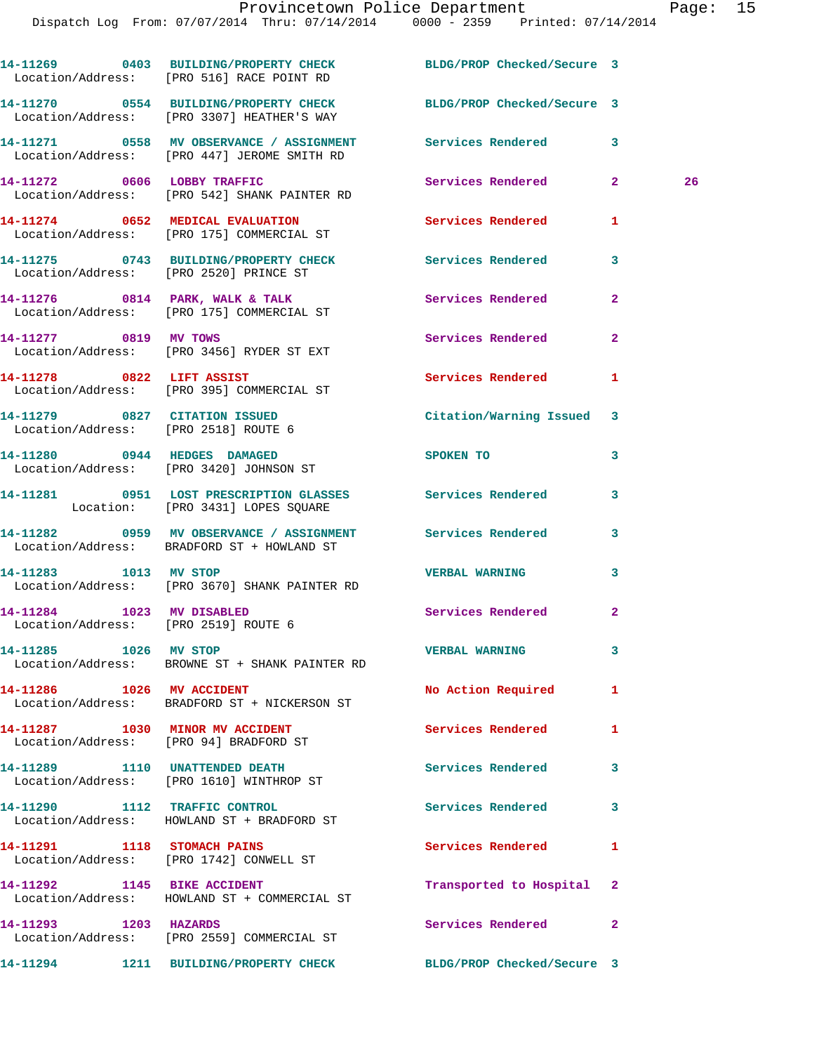|                                                                   | 14-11269 0403 BUILDING/PROPERTY CHECK BLDG/PROP Checked/Secure 3<br>Location/Address: [PRO 516] RACE POINT RD |                            |                |    |
|-------------------------------------------------------------------|---------------------------------------------------------------------------------------------------------------|----------------------------|----------------|----|
|                                                                   | 14-11270 0554 BUILDING/PROPERTY CHECK<br>Location/Address: [PRO 3307] HEATHER'S WAY                           | BLDG/PROP Checked/Secure 3 |                |    |
|                                                                   | 14-11271 0558 MV OBSERVANCE / ASSIGNMENT Services Rendered 3<br>Location/Address: [PRO 447] JEROME SMITH RD   |                            |                |    |
|                                                                   | 14-11272 0606 LOBBY TRAFFIC<br>Location/Address: [PRO 542] SHANK PAINTER RD                                   | Services Rendered 2        |                | 26 |
|                                                                   | 14-11274 0652 MEDICAL EVALUATION<br>Location/Address: [PRO 175] COMMERCIAL ST                                 | Services Rendered          | 1              |    |
|                                                                   | 14-11275 0743 BUILDING/PROPERTY CHECK Services Rendered 3<br>Location/Address: [PRO 2520] PRINCE ST           |                            |                |    |
|                                                                   | 14-11276 0814 PARK, WALK & TALK<br>Location/Address: [PRO 175] COMMERCIAL ST                                  | <b>Services Rendered</b>   | $\mathbf{2}$   |    |
| 14-11277 0819 MV TOWS                                             | Location/Address: [PRO 3456] RYDER ST EXT                                                                     | Services Rendered          | $\overline{2}$ |    |
|                                                                   | 14-11278 0822 LIFT ASSIST<br>Location/Address: [PRO 395] COMMERCIAL ST                                        | <b>Services Rendered</b>   | 1              |    |
| Location/Address: [PRO 2518] ROUTE 6                              | 14-11279 0827 CITATION ISSUED                                                                                 | Citation/Warning Issued 3  |                |    |
|                                                                   | 14-11280 0944 HEDGES DAMAGED<br>Location/Address: [PRO 3420] JOHNSON ST                                       | <b>SPOKEN TO</b>           | 3              |    |
|                                                                   | 14-11281 0951 LOST PRESCRIPTION GLASSES Services Rendered<br>Location: [PRO 3431] LOPES SQUARE                |                            | 3              |    |
|                                                                   | 14-11282 0959 MV OBSERVANCE / ASSIGNMENT Services Rendered<br>Location/Address: BRADFORD ST + HOWLAND ST      |                            | 3              |    |
| 14-11283 1013 MV STOP                                             | Location/Address: [PRO 3670] SHANK PAINTER RD                                                                 | <b>VERBAL WARNING</b>      | 3              |    |
| 14-11284 1023 MV DISABLED<br>Location/Address: [PRO 2519] ROUTE 6 |                                                                                                               | Services Rendered          | $\overline{2}$ |    |
| 14-11285 1026 MV STOP                                             | Location/Address: BROWNE ST + SHANK PAINTER RD                                                                | <b>VERBAL WARNING</b>      | 3              |    |
| 14-11286 1026 MV ACCIDENT                                         | Location/Address: BRADFORD ST + NICKERSON ST                                                                  | No Action Required         | 1              |    |
|                                                                   | 14-11287 1030 MINOR MV ACCIDENT<br>Location/Address: [PRO 94] BRADFORD ST                                     | <b>Services Rendered</b>   | 1              |    |
|                                                                   | 14-11289 1110 UNATTENDED DEATH<br>Location/Address: [PRO 1610] WINTHROP ST                                    | <b>Services Rendered</b>   | 3              |    |
| 14-11290 1112 TRAFFIC CONTROL                                     | Location/Address: HOWLAND ST + BRADFORD ST                                                                    | Services Rendered          | 3              |    |
|                                                                   | 14-11291 1118 STOMACH PAINS<br>Location/Address: [PRO 1742] CONWELL ST                                        | Services Rendered          | 1              |    |
| 14-11292 1145 BIKE ACCIDENT                                       | Location/Address: HOWLAND ST + COMMERCIAL ST                                                                  | Transported to Hospital    | 2              |    |
| 14-11293 1203 HAZARDS                                             | Location/Address: [PRO 2559] COMMERCIAL ST                                                                    | Services Rendered          | $\mathbf{2}$   |    |
|                                                                   | 14-11294 1211 BUILDING/PROPERTY CHECK                                                                         | BLDG/PROP Checked/Secure 3 |                |    |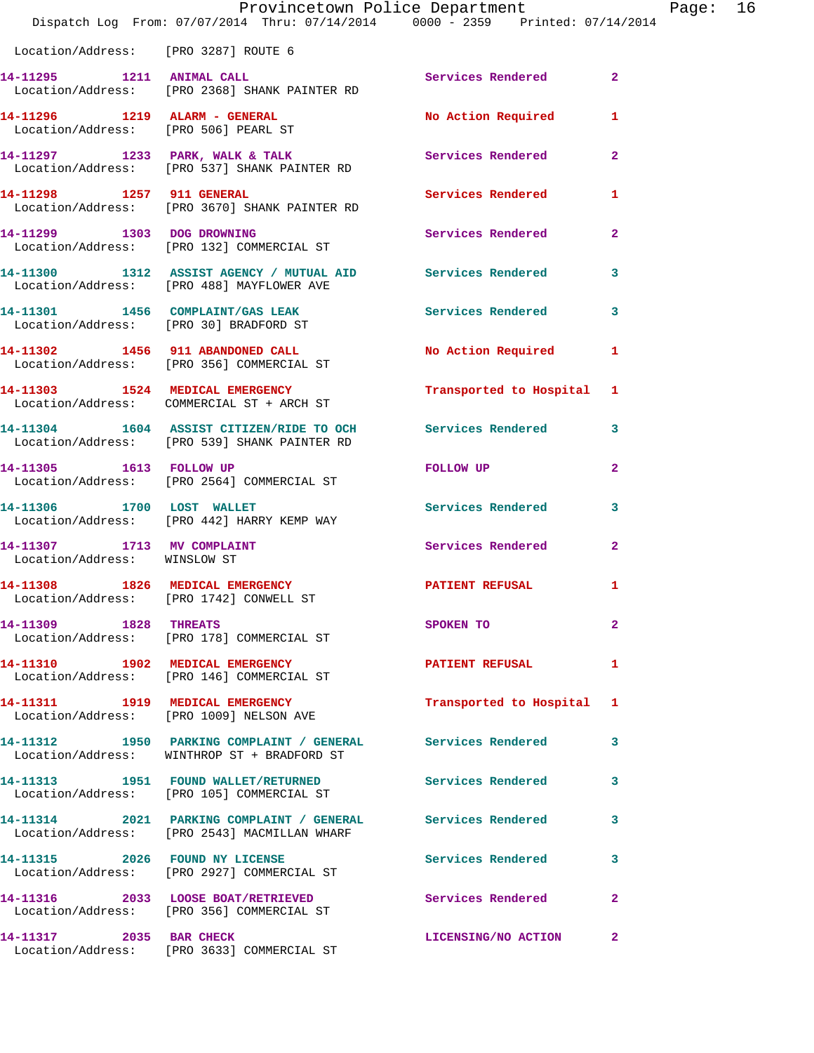|                                                            | Provincetown Police Department<br>Dispatch Log From: 07/07/2014 Thru: 07/14/2014 0000 - 2359 Printed: 07/14/2014            |                           |                |
|------------------------------------------------------------|-----------------------------------------------------------------------------------------------------------------------------|---------------------------|----------------|
| Location/Address: [PRO 3287] ROUTE 6                       |                                                                                                                             |                           |                |
| 14-11295 1211 ANIMAL CALL                                  | Location/Address: [PRO 2368] SHANK PAINTER RD                                                                               | Services Rendered         | $\overline{2}$ |
| Location/Address: [PRO 506] PEARL ST                       |                                                                                                                             | <b>No Action Required</b> | 1              |
|                                                            | 14-11297 1233 PARK, WALK & TALK<br>Location/Address: [PRO 537] SHANK PAINTER RD                                             | Services Rendered         | $\mathbf{2}$   |
| 14-11298 1257 911 GENERAL                                  | Location/Address: [PRO 3670] SHANK PAINTER RD                                                                               | <b>Services Rendered</b>  | 1              |
| 14-11299 1303 DOG DROWNING                                 | Location/Address: [PRO 132] COMMERCIAL ST                                                                                   | Services Rendered         | $\overline{2}$ |
|                                                            | 14-11300 1312 ASSIST AGENCY / MUTUAL AID Services Rendered<br>Location/Address: [PRO 488] MAYFLOWER AVE                     |                           | 3              |
|                                                            | 14-11301 1456 COMPLAINT/GAS LEAK<br>Location/Address: [PRO 30] BRADFORD ST                                                  | Services Rendered         | 3              |
|                                                            | 14-11302 1456 911 ABANDONED CALL<br>Location/Address: [PRO 356] COMMERCIAL ST                                               | <b>No Action Required</b> | 1              |
|                                                            | 14-11303 1524 MEDICAL EMERGENCY<br>Location/Address: COMMERCIAL ST + ARCH ST                                                | Transported to Hospital   | 1              |
|                                                            | 14-11304 1604 ASSIST CITIZEN/RIDE TO OCH Services Rendered<br>Location/Address: [PRO 539] SHANK PAINTER RD                  |                           | 3              |
| 14-11305 1613 FOLLOW UP                                    | Location/Address: [PRO 2564] COMMERCIAL ST                                                                                  | FOLLOW UP                 | 2              |
|                                                            | 14-11306 1700 LOST WALLET<br>Location/Address: [PRO 442] HARRY KEMP WAY                                                     | Services Rendered         | 3              |
| 14-11307 1713 MV COMPLAINT<br>Location/Address: WINSLOW ST |                                                                                                                             | Services Rendered         | 2              |
|                                                            | 14-11308 1826 MEDICAL EMERGENCY<br>Location/Address: [PRO 1742] CONWELL ST                                                  | PATIENT REFUSAL           | 1              |
| 14-11309 1828 THREATS                                      | Location/Address: [PRO 178] COMMERCIAL ST                                                                                   | SPOKEN TO                 | $\mathbf{2}$   |
|                                                            | 14-11310 1902 MEDICAL EMERGENCY<br>Location/Address: [PRO 146] COMMERCIAL ST                                                | <b>PATIENT REFUSAL</b>    | 1              |
|                                                            | 14-11311 1919 MEDICAL EMERGENCY<br>Location/Address: [PRO 1009] NELSON AVE                                                  | Transported to Hospital   | 1              |
|                                                            | 14-11312         1950 PARKING COMPLAINT / GENERAL          Services Rendered<br>Location/Address: WINTHROP ST + BRADFORD ST |                           | 3              |
|                                                            | 14-11313 1951 FOUND WALLET/RETURNED<br>Location/Address: [PRO 105] COMMERCIAL ST                                            | <b>Services Rendered</b>  | 3              |
|                                                            | 14-11314 2021 PARKING COMPLAINT / GENERAL Services Rendered<br>Location/Address: [PRO 2543] MACMILLAN WHARF                 |                           | 3              |
|                                                            | 14-11315 2026 FOUND NY LICENSE<br>Location/Address: [PRO 2927] COMMERCIAL ST                                                | Services Rendered         | 3              |
|                                                            | 14-11316 2033 LOOSE BOAT/RETRIEVED<br>Location/Address: [PRO 356] COMMERCIAL ST                                             | Services Rendered         | $\mathbf{2}$   |
| 14-11317 2035 BAR CHECK                                    | Location/Address: [PRO 3633] COMMERCIAL ST                                                                                  | LICENSING/NO ACTION       | 2              |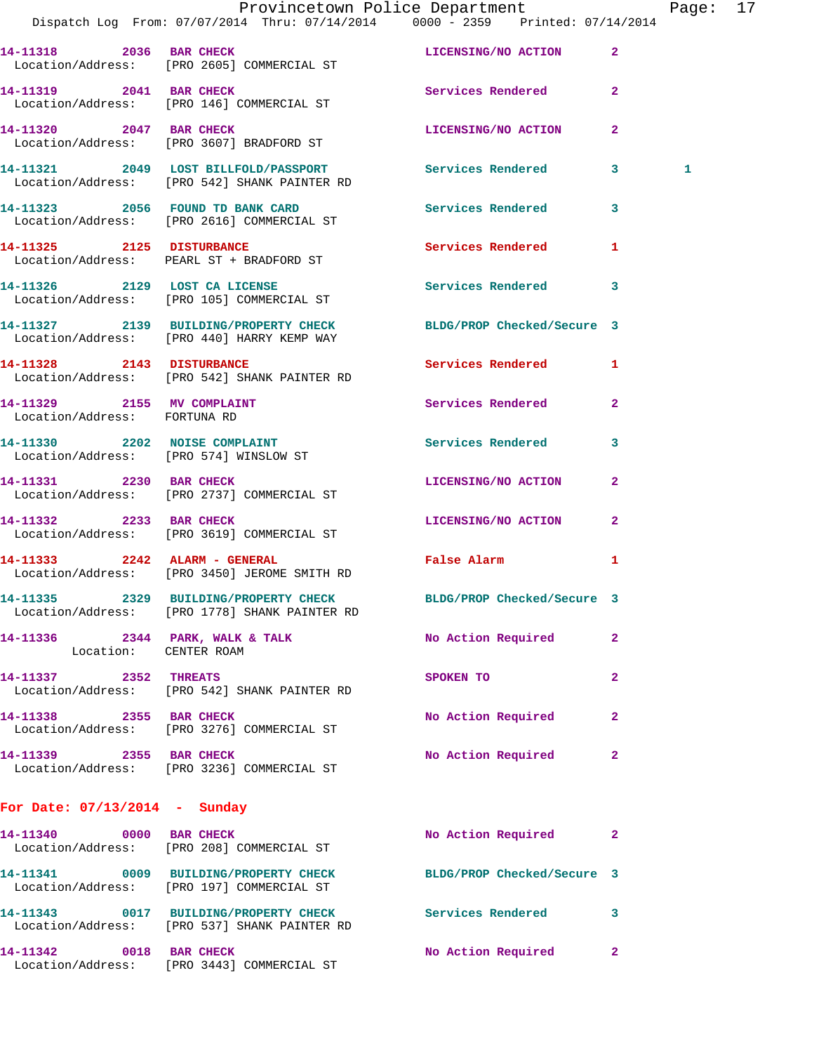|                                 |                                                                                                                | Provincetown Police Department Page: 17 |              |   |  |
|---------------------------------|----------------------------------------------------------------------------------------------------------------|-----------------------------------------|--------------|---|--|
|                                 | Dispatch Log From: 07/07/2014 Thru: 07/14/2014 0000 - 2359 Printed: 07/14/2014                                 |                                         |              |   |  |
|                                 | 14-11318 2036 BAR CHECK LICENSING/NO ACTION 2<br>Location/Address: [PRO 2605] COMMERCIAL ST                    |                                         |              |   |  |
| 14-11319 2041 BAR CHECK         | Location/Address: [PRO 146] COMMERCIAL ST                                                                      | Services Rendered 2                     |              |   |  |
|                                 | 14-11320 2047 BAR CHECK<br>Location/Address: [PRO 3607] BRADFORD ST                                            | LICENSING/NO ACTION                     | $\mathbf{2}$ |   |  |
|                                 | 14-11321 2049 LOST BILLFOLD/PASSPORT Services Rendered 3<br>Location/Address: [PRO 542] SHANK PAINTER RD       |                                         |              | 1 |  |
|                                 | 14-11323 2056 FOUND TD BANK CARD<br>Location/Address: [PRO 2616] COMMERCIAL ST                                 | Services Rendered 3                     |              |   |  |
|                                 | 14-11325 2125 DISTURBANCE<br>Location/Address: PEARL ST + BRADFORD ST                                          | Services Rendered                       | 1            |   |  |
|                                 | 14-11326 2129 LOST CA LICENSE<br>Location/Address: [PRO 105] COMMERCIAL ST                                     | Services Rendered 3                     |              |   |  |
|                                 | 14-11327 2139 BUILDING/PROPERTY CHECK BLDG/PROP Checked/Secure 3<br>Location/Address: [PRO 440] HARRY KEMP WAY |                                         |              |   |  |
|                                 | 14-11328 2143 DISTURBANCE<br>Location/Address: [PRO 542] SHANK PAINTER RD                                      | Services Rendered 1                     |              |   |  |
| Location/Address: FORTUNA RD    | 14-11329 2155 MV COMPLAINT                                                                                     | Services Rendered                       | $\mathbf{2}$ |   |  |
|                                 | 14-11330 2202 NOISE COMPLAINT<br>Location/Address: [PRO 574] WINSLOW ST                                        | Services Rendered 3                     |              |   |  |
|                                 | 14-11331 2230 BAR CHECK<br>Location/Address: [PRO 2737] COMMERCIAL ST                                          | LICENSING/NO ACTION                     | $\mathbf{2}$ |   |  |
| 14-11332 2233 BAR CHECK         | Location/Address: [PRO 3619] COMMERCIAL ST                                                                     | LICENSING/NO ACTION 2                   |              |   |  |
|                                 | 14-11333 2242 ALARM - GENERAL<br>Location/Address: [PRO 3450] JEROME SMITH RD                                  | False Alarm                             | $\mathbf{1}$ |   |  |
|                                 | 14-11335 2329 BUILDING/PROPERTY CHECK<br>Location/Address: [PRO 1778] SHANK PAINTER RD                         | BLDG/PROP Checked/Secure 3              |              |   |  |
| Location: CENTER ROAM           | 14-11336 2344 PARK, WALK & TALK No Action Required                                                             |                                         | -2           |   |  |
| 14-11337 2352 THREATS           | Location/Address: [PRO 542] SHANK PAINTER RD                                                                   | SPOKEN TO                               | $\mathbf{2}$ |   |  |
|                                 | 14-11338 2355 BAR CHECK<br>Location/Address: [PRO 3276] COMMERCIAL ST                                          | No Action Required                      | 2            |   |  |
| 14-11339 2355 BAR CHECK         | Location/Address: [PRO 3236] COMMERCIAL ST                                                                     | No Action Required                      | $\mathbf{2}$ |   |  |
| For Date: $07/13/2014$ - Sunday |                                                                                                                |                                         |              |   |  |
|                                 | 14-11340 0000 BAR CHECK<br>Location/Address: [PRO 208] COMMERCIAL ST                                           | No Action Required 2                    |              |   |  |
|                                 | 14-11341 0009 BUILDING/PROPERTY CHECK BLDG/PROP Checked/Secure 3<br>Location/Address: [PRO 197] COMMERCIAL ST  |                                         |              |   |  |
|                                 | 14-11343 0017 BUILDING/PROPERTY CHECK Services Rendered 3<br>Location/Address: [PRO 537] SHANK PAINTER RD      |                                         |              |   |  |
|                                 | 14-11342 0018 BAR CHECK<br>Location/Address: [PRO 3443] COMMERCIAL ST                                          | No Action Required                      | $\mathbf{2}$ |   |  |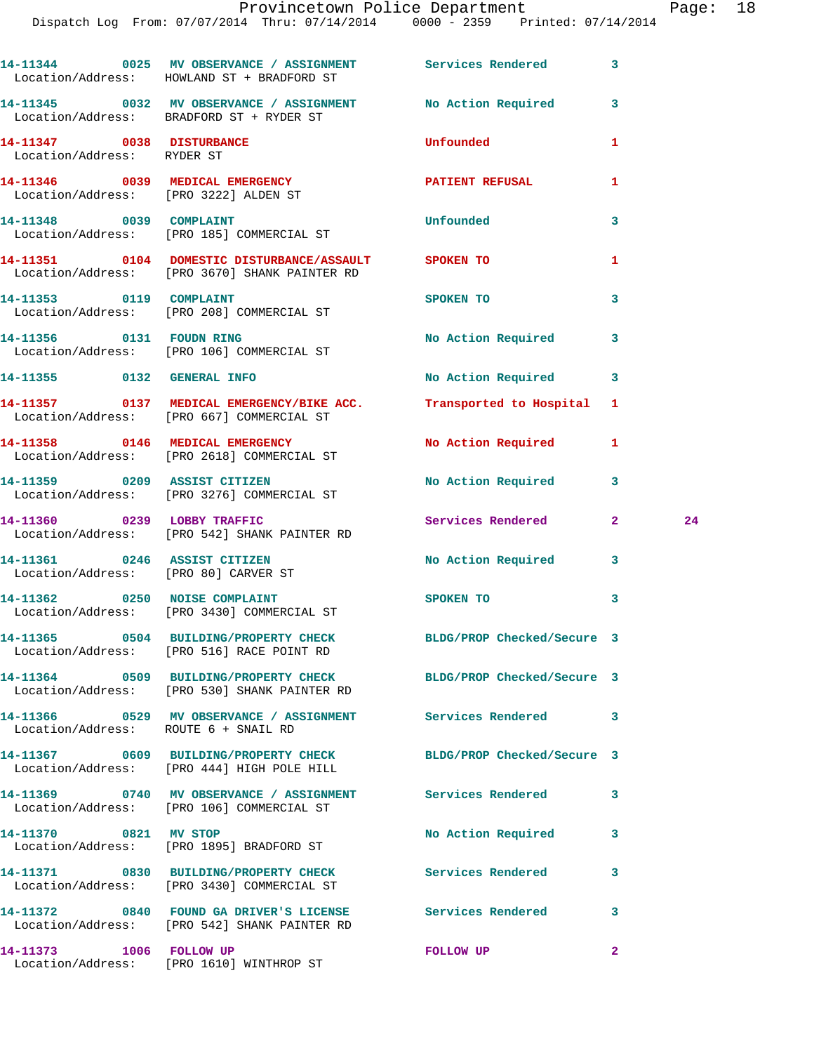|                                                         | 14-11344 0025 MV OBSERVANCE / ASSIGNMENT Services Rendered 3<br>Location/Address: HOWLAND ST + BRADFORD ST            |                            |              |    |
|---------------------------------------------------------|-----------------------------------------------------------------------------------------------------------------------|----------------------------|--------------|----|
|                                                         | 14-11345 0032 MV OBSERVANCE / ASSIGNMENT No Action Required 3<br>Location/Address: BRADFORD ST + RYDER ST             |                            |              |    |
| 14-11347 0038 DISTURBANCE<br>Location/Address: RYDER ST |                                                                                                                       | <b>Unfounded</b>           | 1            |    |
| Location/Address: [PRO 3222] ALDEN ST                   | 14-11346 0039 MEDICAL EMERGENCY                                                                                       | PATIENT REFUSAL            | 1            |    |
| 14-11348 0039 COMPLAINT                                 | Location/Address: [PRO 185] COMMERCIAL ST                                                                             | Unfounded                  | 3            |    |
|                                                         | 14-11351 0104 DOMESTIC DISTURBANCE/ASSAULT SPOKEN TO<br>Location/Address: [PRO 3670] SHANK PAINTER RD                 |                            | 1            |    |
|                                                         | 14-11353 0119 COMPLAINT<br>Location/Address: [PRO 208] COMMERCIAL ST                                                  | SPOKEN TO                  | 3            |    |
|                                                         | 14-11356 0131 FOUDN RING<br>Location/Address: [PRO 106] COMMERCIAL ST                                                 | No Action Required 3       |              |    |
| 14-11355 0132 GENERAL INFO                              |                                                                                                                       | No Action Required 3       |              |    |
|                                                         | 14-11357   0137   MEDICAL EMERGENCY/BIKE ACC.   Transported to Hospital 1   Location/Address: [PRO 667] COMMERCIAL ST |                            |              |    |
|                                                         | 14-11358 0146 MEDICAL EMERGENCY<br>Location/Address: [PRO 2618] COMMERCIAL ST                                         | No Action Required 1       |              |    |
|                                                         | 14-11359 0209 ASSIST CITIZEN<br>Location/Address: [PRO 3276] COMMERCIAL ST                                            | <b>No Action Required</b>  | $\mathbf{3}$ |    |
|                                                         | 14-11360 0239 LOBBY TRAFFIC<br>Location/Address: [PRO 542] SHANK PAINTER RD                                           | Services Rendered 2        |              | 24 |
|                                                         | 14-11361 0246 ASSIST CITIZEN<br>Location/Address: [PRO 80] CARVER ST                                                  | No Action Required 3       |              |    |
|                                                         | 14-11362 0250 NOISE COMPLAINT<br>Location/Address: [PRO 3430] COMMERCIAL ST                                           | SPOKEN TO                  | 3            |    |
|                                                         | 14-11365 0504 BUILDING/PROPERTY CHECK<br>Location/Address: [PRO 516] RACE POINT RD                                    | BLDG/PROP Checked/Secure 3 |              |    |
|                                                         | 14-11364 0509 BUILDING/PROPERTY CHECK BLDG/PROP Checked/Secure 3<br>Location/Address: [PRO 530] SHANK PAINTER RD      |                            |              |    |
| Location/Address: ROUTE 6 + SNAIL RD                    | 14-11366  0529 MV OBSERVANCE / ASSIGNMENT Services Rendered                                                           |                            | 3            |    |
|                                                         | 14-11367 0609 BUILDING/PROPERTY CHECK<br>Location/Address: [PRO 444] HIGH POLE HILL                                   | BLDG/PROP Checked/Secure 3 |              |    |
|                                                         | 14-11369 0740 MV OBSERVANCE / ASSIGNMENT Services Rendered<br>Location/Address: [PRO 106] COMMERCIAL ST               |                            | 3            |    |
| 14-11370 0821 MV STOP                                   | Location/Address: [PRO 1895] BRADFORD ST                                                                              | No Action Required         | 3            |    |
|                                                         | Location/Address: [PRO 3430] COMMERCIAL ST                                                                            | Services Rendered          | 3            |    |
|                                                         | 14-11372 0840 FOUND GA DRIVER'S LICENSE<br>Location/Address: [PRO 542] SHANK PAINTER RD                               | <b>Services Rendered</b>   | 3            |    |
| 14-11373 1006 FOLLOW UP                                 | Location/Address: [PRO 1610] WINTHROP ST                                                                              | <b>FOLLOW UP</b>           | $\mathbf{2}$ |    |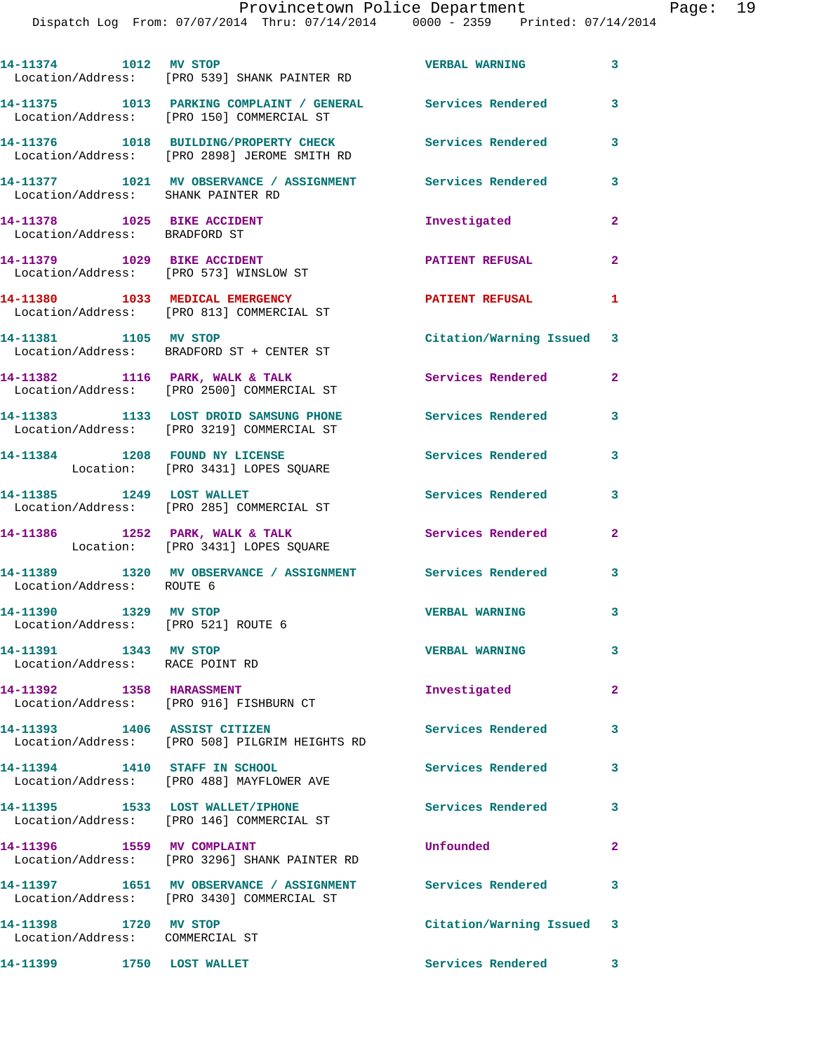| 14-11374 1012 MV STOP                                           | Location/Address: [PRO 539] SHANK PAINTER RD                                                             | <b>VERBAL WARNING</b>     | 3                       |
|-----------------------------------------------------------------|----------------------------------------------------------------------------------------------------------|---------------------------|-------------------------|
|                                                                 | 14-11375 1013 PARKING COMPLAINT / GENERAL Services Rendered<br>Location/Address: [PRO 150] COMMERCIAL ST |                           | 3                       |
|                                                                 | 14-11376 1018 BUILDING/PROPERTY CHECK<br>Location/Address: [PRO 2898] JEROME SMITH RD                    | <b>Services Rendered</b>  | 3                       |
| Location/Address: SHANK PAINTER RD                              | 14-11377 1021 MV OBSERVANCE / ASSIGNMENT Services Rendered                                               |                           | 3                       |
| 14-11378    1025 BIKE ACCIDENT<br>Location/Address: BRADFORD ST |                                                                                                          | Investigated              | $\overline{2}$          |
|                                                                 | 14-11379    1029 BIKE ACCIDENT<br>Location/Address: [PRO 573] WINSLOW ST                                 | <b>PATIENT REFUSAL</b>    | $\mathbf{2}$            |
|                                                                 | 14-11380 1033 MEDICAL EMERGENCY<br>Location/Address: [PRO 813] COMMERCIAL ST                             | <b>PATIENT REFUSAL</b>    | $\mathbf{1}$            |
|                                                                 | 14-11381 1105 MV STOP<br>Location/Address: BRADFORD ST + CENTER ST                                       | Citation/Warning Issued 3 |                         |
|                                                                 | 14-11382 1116 PARK, WALK & TALK<br>Location/Address: [PRO 2500] COMMERCIAL ST                            | <b>Services Rendered</b>  | $\overline{2}$          |
|                                                                 | 14-11383 1133 LOST DROID SAMSUNG PHONE<br>Location/Address: [PRO 3219] COMMERCIAL ST                     | <b>Services Rendered</b>  | 3                       |
| 14-11384 1208 FOUND NY LICENSE                                  | Location: [PRO 3431] LOPES SQUARE                                                                        | Services Rendered         | 3                       |
|                                                                 | 14-11385 1249 LOST WALLET<br>Location/Address: [PRO 285] COMMERCIAL ST                                   | Services Rendered         | 3                       |
|                                                                 | 14-11386 1252 PARK, WALK & TALK<br>Location: [PRO 3431] LOPES SQUARE                                     | Services Rendered         | $\mathbf{2}$            |
| Location/Address: ROUTE 6                                       | 14-11389 1320 MV OBSERVANCE / ASSIGNMENT Services Rendered                                               |                           | $\overline{\mathbf{3}}$ |
| 14-11390 1329 MV STOP<br>Location/Address: [PRO 521] ROUTE 6    |                                                                                                          | <b>VERBAL WARNING</b>     | $\overline{\mathbf{3}}$ |
| 14-11391 1343 MV STOP<br>Location/Address: RACE POINT RD        |                                                                                                          | <b>VERBAL WARNING</b>     | 3                       |
| 14-11392 1358 HARASSMENT                                        | Location/Address: [PRO 916] FISHBURN CT                                                                  | Investigated              | $\mathbf{2}$            |
| 14-11393 1406 ASSIST CITIZEN                                    | Location/Address: [PRO 508] PILGRIM HEIGHTS RD                                                           | <b>Services Rendered</b>  | 3                       |
| 14-11394 1410 STAFF IN SCHOOL                                   | Location/Address: [PRO 488] MAYFLOWER AVE                                                                | Services Rendered         | 3                       |
|                                                                 | 14-11395 1533 LOST WALLET/IPHONE<br>Location/Address: [PRO 146] COMMERCIAL ST                            | <b>Services Rendered</b>  | 3                       |
| 14-11396 1559 MV COMPLAINT                                      | Location/Address: [PRO 3296] SHANK PAINTER RD                                                            | Unfounded                 | $\mathbf{2}$            |
|                                                                 | 14-11397 1651 MV OBSERVANCE / ASSIGNMENT Services Rendered<br>Location/Address: [PRO 3430] COMMERCIAL ST |                           | 3                       |
| 14-11398 1720 MV STOP<br>Location/Address: COMMERCIAL ST        |                                                                                                          | Citation/Warning Issued 3 |                         |
| 14-11399 1750 LOST WALLET                                       |                                                                                                          | Services Rendered 3       |                         |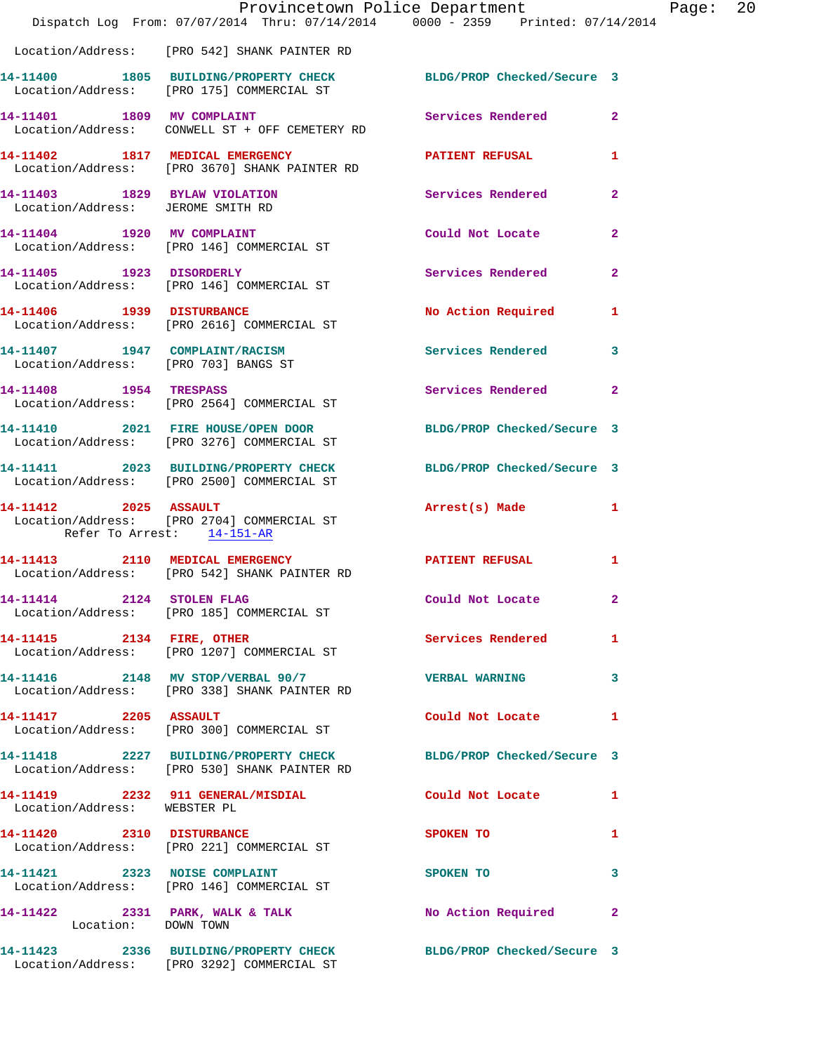|                                                                        | Provincetown Police Department<br>Dispatch Log From: 07/07/2014 Thru: 07/14/2014 0000 - 2359 Printed: 07/14/2014 |                            |                |
|------------------------------------------------------------------------|------------------------------------------------------------------------------------------------------------------|----------------------------|----------------|
|                                                                        | Location/Address: [PRO 542] SHANK PAINTER RD                                                                     |                            |                |
|                                                                        | 14-11400 1805 BUILDING/PROPERTY CHECK BLDG/PROP Checked/Secure 3<br>Location/Address: [PRO 175] COMMERCIAL ST    |                            |                |
|                                                                        | 14-11401 1809 MV COMPLAINT<br>Location/Address: CONWELL ST + OFF CEMETERY RD                                     | Services Rendered          | $\overline{2}$ |
|                                                                        | 14-11402 1817 MEDICAL EMERGENCY<br>Location/Address: [PRO 3670] SHANK PAINTER RD                                 | <b>PATIENT REFUSAL</b>     | 1              |
|                                                                        | 14-11403 1829 BYLAW VIOLATION<br>Location/Address: JEROME SMITH RD                                               | <b>Services Rendered</b>   | $\overline{2}$ |
|                                                                        | 14-11404 1920 MV COMPLAINT<br>Location/Address: [PRO 146] COMMERCIAL ST                                          | Could Not Locate           | $\overline{2}$ |
|                                                                        | 14-11405 1923 DISORDERLY<br>Location/Address: [PRO 146] COMMERCIAL ST                                            | Services Rendered          | $\overline{2}$ |
|                                                                        | 14-11406 1939 DISTURBANCE<br>Location/Address: [PRO 2616] COMMERCIAL ST                                          | No Action Required         | 1              |
| 14-11407 1947 COMPLAINT/RACISM<br>Location/Address: [PRO 703] BANGS ST |                                                                                                                  | Services Rendered          | 3              |
| 14-11408 1954 TRESPASS                                                 | Location/Address: [PRO 2564] COMMERCIAL ST                                                                       | Services Rendered          | $\mathbf{2}$   |
|                                                                        | 14-11410 2021 FIRE HOUSE/OPEN DOOR<br>Location/Address: [PRO 3276] COMMERCIAL ST                                 | BLDG/PROP Checked/Secure 3 |                |
|                                                                        | 14-11411 2023 BUILDING/PROPERTY CHECK BLDG/PROP Checked/Secure 3<br>Location/Address: [PRO 2500] COMMERCIAL ST   |                            |                |
| 14-11412 2025 ASSAULT<br>Refer To Arrest: 14-151-AR                    | Location/Address: [PRO 2704] COMMERCIAL ST                                                                       | Arrest(s) Made             |                |
|                                                                        | 14-11413 2110 MEDICAL EMERGENCY<br>Location/Address: [PRO 542] SHANK PAINTER RD                                  | <b>PATIENT REFUSAL</b>     | 1              |
| 14-11414 2124 STOLEN FLAG                                              | Location/Address: [PRO 185] COMMERCIAL ST                                                                        | Could Not Locate           | 2              |
| 14-11415 2134 FIRE, OTHER                                              | Location/Address: [PRO 1207] COMMERCIAL ST                                                                       | Services Rendered          | 1              |
|                                                                        | 14-11416 2148 MV STOP/VERBAL 90/7<br>Location/Address: [PRO 338] SHANK PAINTER RD                                | <b>VERBAL WARNING</b>      | 3              |
| 14-11417 2205 ASSAULT                                                  | Location/Address: [PRO 300] COMMERCIAL ST                                                                        | Could Not Locate           | 1              |
|                                                                        | 14-11418 2227 BUILDING/PROPERTY CHECK BLDG/PROP Checked/Secure 3<br>Location/Address: [PRO 530] SHANK PAINTER RD |                            |                |
| Location/Address: WEBSTER PL                                           | 14-11419 2232 911 GENERAL/MISDIAL                                                                                | Could Not Locate           | 1              |
| 14-11420 2310 DISTURBANCE                                              | Location/Address: [PRO 221] COMMERCIAL ST                                                                        | SPOKEN TO                  | 1              |
|                                                                        | 14-11421 2323 NOISE COMPLAINT<br>Location/Address: [PRO 146] COMMERCIAL ST                                       | SPOKEN TO                  | 3              |
| Location: DOWN TOWN                                                    | 14-11422 2331 PARK, WALK & TALK                                                                                  | No Action Required         | $\mathbf{2}$   |
|                                                                        | 14-11423 2336 BUILDING/PROPERTY CHECK<br>Location/Address: [PRO 3292] COMMERCIAL ST                              | BLDG/PROP Checked/Secure 3 |                |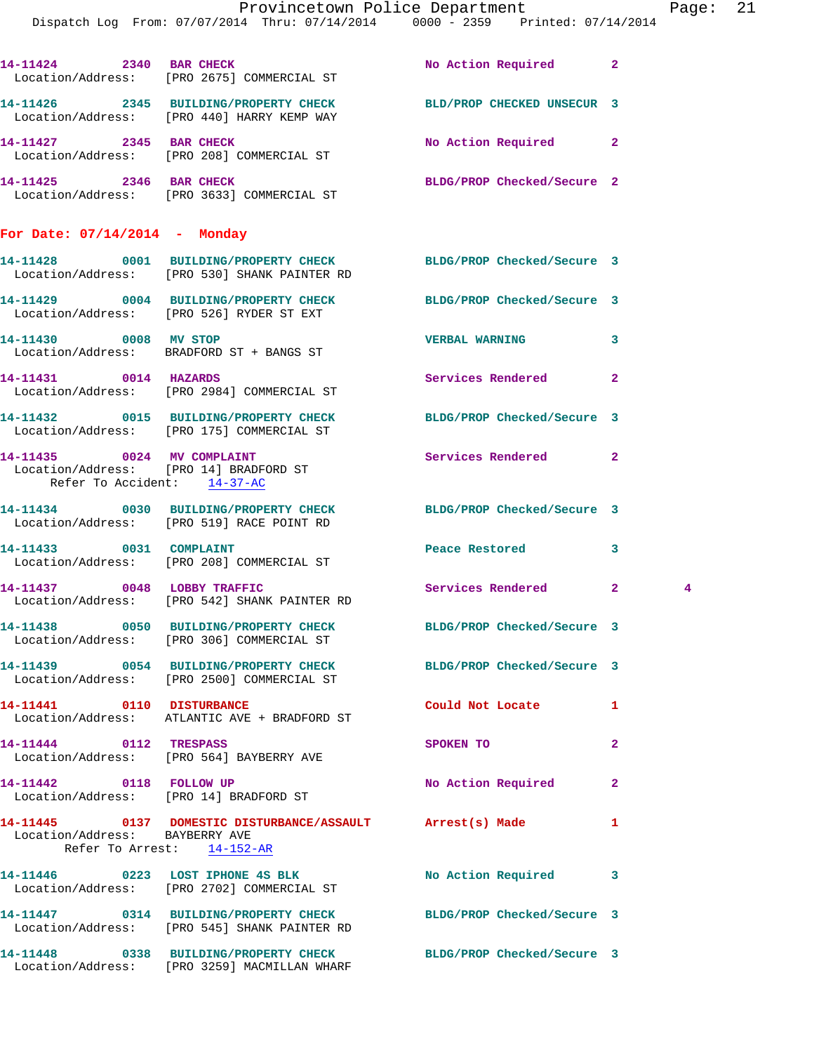|                                                              | Dispatch Log From: 07/07/2014 Thru: 07/14/2014 0000 - 2359 Printed: 07/14/2014                                   | Provincetown Police Department | Pag          |             |
|--------------------------------------------------------------|------------------------------------------------------------------------------------------------------------------|--------------------------------|--------------|-------------|
|                                                              |                                                                                                                  |                                |              |             |
|                                                              | 14-11424 2340 BAR CHECK<br>Location/Address: [PRO 2675] COMMERCIAL ST                                            | No Action Required             | $\mathbf{2}$ |             |
|                                                              | 14-11426 2345 BUILDING/PROPERTY CHECK BLD/PROP CHECKED UNSECUR 3<br>Location/Address: [PRO 440] HARRY KEMP WAY   |                                |              |             |
| 14-11427 2345 BAR CHECK                                      | Location/Address: [PRO 208] COMMERCIAL ST                                                                        | No Action Required             | $\mathbf{2}$ |             |
|                                                              | 14-11425 2346 BAR CHECK<br>Location/Address: [PRO 3633] COMMERCIAL ST                                            | BLDG/PROP Checked/Secure 2     |              |             |
| For Date: $07/14/2014$ - Monday                              |                                                                                                                  |                                |              |             |
|                                                              | 14-11428 0001 BUILDING/PROPERTY CHECK BLDG/PROP Checked/Secure 3<br>Location/Address: [PRO 530] SHANK PAINTER RD |                                |              |             |
|                                                              | 14-11429 0004 BUILDING/PROPERTY CHECK BLDG/PROP Checked/Secure 3<br>Location/Address: [PRO 526] RYDER ST EXT     |                                |              |             |
|                                                              | 14-11430 0008 MV STOP<br>Location/Address: BRADFORD ST + BANGS ST                                                | <b>VERBAL WARNING</b>          | 3            |             |
| 14-11431 0014 HAZARDS                                        | Location/Address: [PRO 2984] COMMERCIAL ST                                                                       | Services Rendered              | $\mathbf{2}$ |             |
|                                                              | 14-11432 0015 BUILDING/PROPERTY CHECK<br>Location/Address: [PRO 175] COMMERCIAL ST                               | BLDG/PROP Checked/Secure 3     |              |             |
| 14-11435 0024 MV COMPLAINT<br>Refer To Accident: 14-37-AC    | Location/Address: [PRO 14] BRADFORD ST                                                                           | Services Rendered              | $\mathbf{2}$ |             |
|                                                              | 14-11434 0030 BUILDING/PROPERTY CHECK BLDG/PROP Checked/Secure 3<br>Location/Address: [PRO 519] RACE POINT RD    |                                |              |             |
|                                                              | 14-11433 0031 COMPLAINT<br>Location/Address: [PRO 208] COMMERCIAL ST                                             | Peace Restored                 | 3            |             |
|                                                              | 14-11437 0048 LOBBY TRAFFIC<br>Location/Address: [PRO 542] SHANK PAINTER RD                                      | Services Rendered 2            |              | $4^{\circ}$ |
|                                                              | 14-11438 0050 BUILDING/PROPERTY CHECK BLDG/PROP Checked/Secure 3<br>Location/Address: [PRO 306] COMMERCIAL ST    |                                |              |             |
|                                                              | 14-11439 0054 BUILDING/PROPERTY CHECK<br>Location/Address: [PRO 2500] COMMERCIAL ST                              | BLDG/PROP Checked/Secure 3     |              |             |
| 14-11441 0110 DISTURBANCE                                    | Location/Address: ATLANTIC AVE + BRADFORD ST                                                                     | Could Not Locate               | 1            |             |
| 14-11444 0112 TRESPASS                                       | Location/Address: [PRO 564] BAYBERRY AVE                                                                         | SPOKEN TO                      | $\mathbf{2}$ |             |
| 14-11442 0118 FOLLOW UP                                      | Location/Address: [PRO 14] BRADFORD ST                                                                           | No Action Required             | 2            |             |
| Location/Address: BAYBERRY AVE<br>Refer To Arrest: 14-152-AR | 14-11445  0137 DOMESTIC DISTURBANCE/ASSAULT Arrest(s) Made                                                       |                                | 1            |             |
|                                                              | 14-11446 0223 LOST IPHONE 4S BLK<br>Location/Address: [PRO 2702] COMMERCIAL ST                                   | No Action Required             | 3            |             |
|                                                              | 14-11447 0314 BUILDING/PROPERTY CHECK BLDG/PROP Checked/Secure 3<br>Location/Address: [PRO 545] SHANK PAINTER RD |                                |              |             |
|                                                              | 14-11448 0338 BUILDING/PROPERTY CHECK                                                                            | BLDG/PROP Checked/Secure 3     |              |             |

Location/Address: [PRO 3259] MACMILLAN WHARF